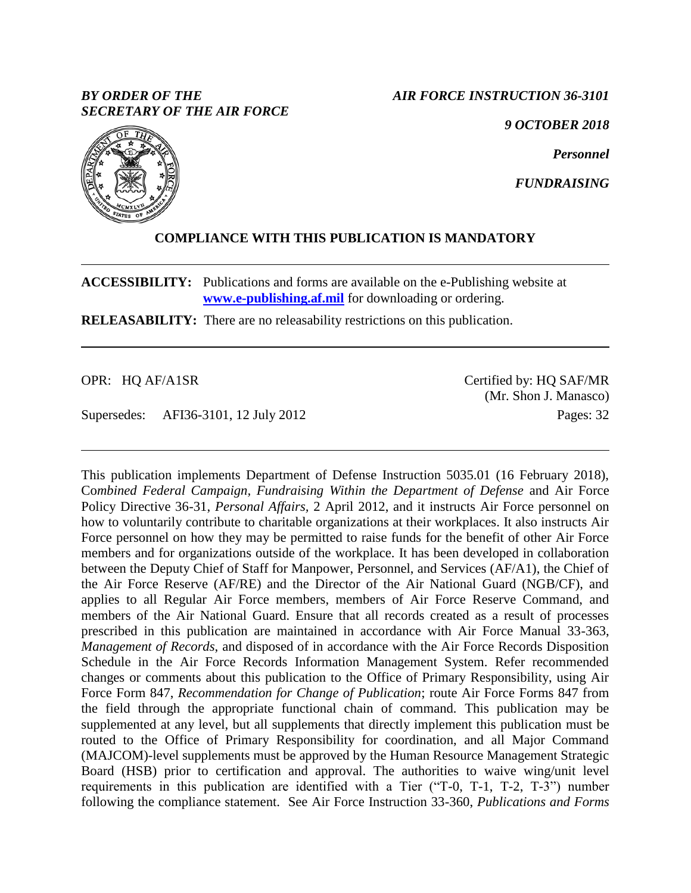## *BY ORDER OF THE SECRETARY OF THE AIR FORCE*

*AIR FORCE INSTRUCTION 36-3101*

*9 OCTOBER 2018*

*Personnel*

*FUNDRAISING*



**ACCESSIBILITY:** Publications and forms are available on the e-Publishing website at **[www.e-publishing.af.mil](http://www.e-publishing.af.mil/)** for downloading or ordering.

**RELEASABILITY:** There are no releasability restrictions on this publication.

OPR: HQ AF/A1SR

Supersedes: AFI36-3101, 12 July 2012

Certified by: HQ SAF/MR (Mr. Shon J. Manasco) Pages: 32

This publication implements Department of Defense Instruction 5035.01 (16 February 2018), Co*mbined Federal Campaign, Fundraising Within the Department of Defense* and Air Force Policy Directive 36-31, *Personal Affairs,* 2 April 2012, and it instructs Air Force personnel on how to voluntarily contribute to charitable organizations at their workplaces. It also instructs Air Force personnel on how they may be permitted to raise funds for the benefit of other Air Force members and for organizations outside of the workplace. It has been developed in collaboration between the Deputy Chief of Staff for Manpower, Personnel, and Services (AF/A1), the Chief of the Air Force Reserve (AF/RE) and the Director of the Air National Guard (NGB/CF), and applies to all Regular Air Force members, members of Air Force Reserve Command, and members of the Air National Guard. Ensure that all records created as a result of processes prescribed in this publication are maintained in accordance with Air Force Manual 33-363, *Management of Records*, and disposed of in accordance with the Air Force Records Disposition Schedule in the Air Force Records Information Management System. Refer recommended changes or comments about this publication to the Office of Primary Responsibility, using Air Force Form 847, *Recommendation for Change of Publication*; route Air Force Forms 847 from the field through the appropriate functional chain of command*.* This publication may be supplemented at any level, but all supplements that directly implement this publication must be routed to the Office of Primary Responsibility for coordination, and all Major Command (MAJCOM)-level supplements must be approved by the Human Resource Management Strategic Board (HSB) prior to certification and approval. The authorities to waive wing/unit level requirements in this publication are identified with a Tier ("T-0, T-1, T-2, T-3") number following the compliance statement. See Air Force Instruction 33-360, *Publications and Forms* 

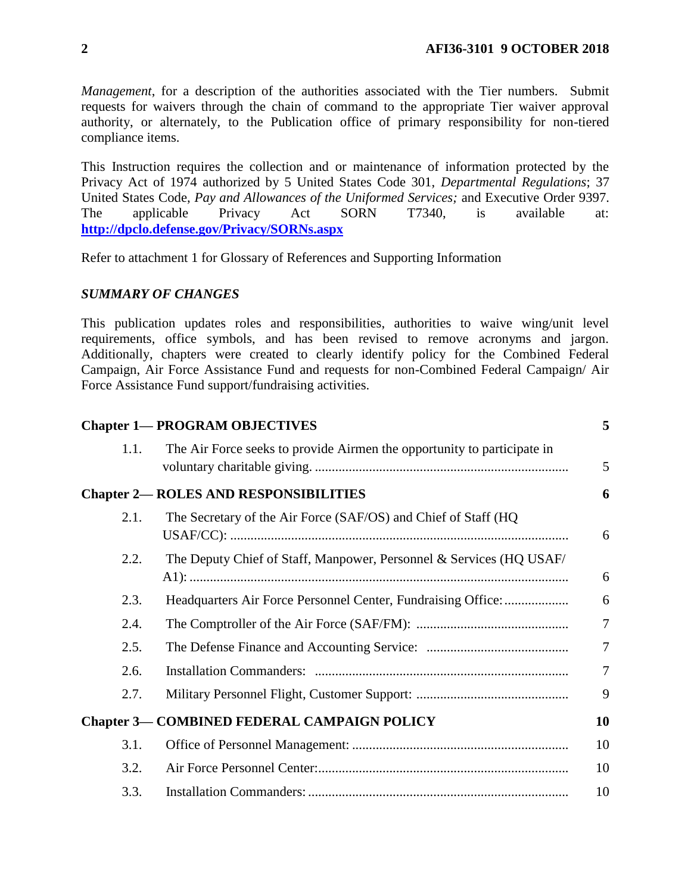*Management*, for a description of the authorities associated with the Tier numbers. Submit requests for waivers through the chain of command to the appropriate Tier waiver approval authority, or alternately, to the Publication office of primary responsibility for non-tiered compliance items.

This Instruction requires the collection and or maintenance of information protected by the Privacy Act of 1974 authorized by 5 United States Code 301, *Departmental Regulations*; 37 United States Code, *Pay and Allowances of the Uniformed Services;* and Executive Order 9397. The applicable Privacy Act SORN T7340, is available at: **<http://dpclo.defense.gov/Privacy/SORNs.aspx>**

Refer to attachment 1 for Glossary of References and Supporting Information

## *SUMMARY OF CHANGES*

This publication updates roles and responsibilities, authorities to waive wing/unit level requirements, office symbols, and has been revised to remove acronyms and jargon. Additionally, chapters were created to clearly identify policy for the Combined Federal Campaign, Air Force Assistance Fund and requests for non-Combined Federal Campaign/ Air Force Assistance Fund support/fundraising activities.

|      | <b>Chapter 1— PROGRAM OBJECTIVES</b>                                    | 5              |
|------|-------------------------------------------------------------------------|----------------|
| 1.1. | The Air Force seeks to provide Airmen the opportunity to participate in | 5              |
|      | <b>Chapter 2— ROLES AND RESPONSIBILITIES</b>                            | 6              |
| 2.1. | The Secretary of the Air Force (SAF/OS) and Chief of Staff (HQ          | 6              |
| 2.2. | The Deputy Chief of Staff, Manpower, Personnel & Services (HQ USAF/     | 6              |
| 2.3. | Headquarters Air Force Personnel Center, Fundraising Office:            | 6              |
| 2.4. |                                                                         | $\overline{7}$ |
| 2.5. |                                                                         | 7              |
| 2.6. |                                                                         | $\overline{7}$ |
| 2.7. |                                                                         | 9              |
|      | <b>Chapter 3- COMBINED FEDERAL CAMPAIGN POLICY</b>                      | 10             |
| 3.1. |                                                                         | 10             |
| 3.2. |                                                                         | 10             |
| 3.3. |                                                                         | 10             |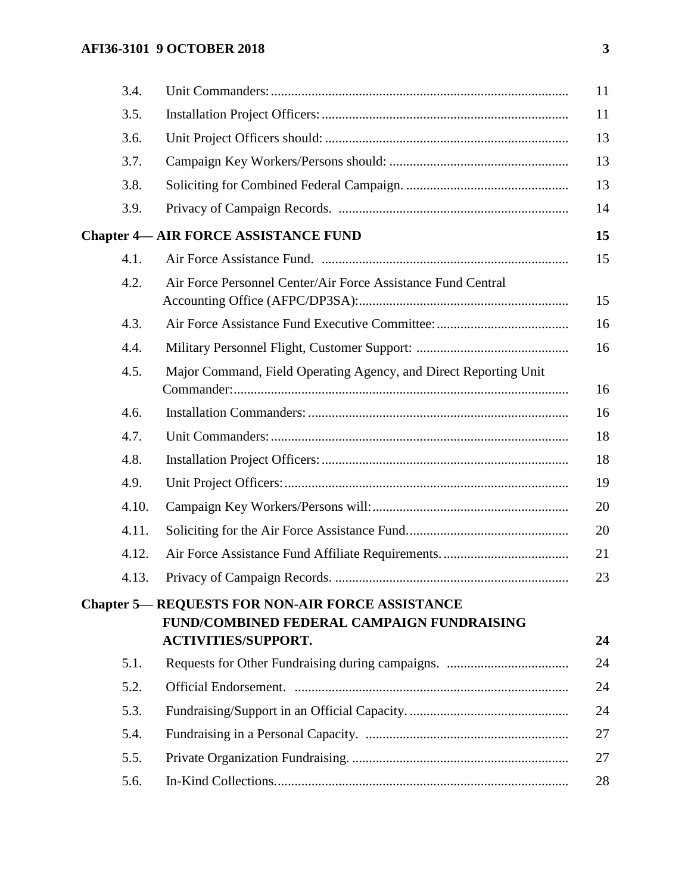# **AFI36-3101 9 OCTOBER 2018 3**

| 3.4.  |                                                                  | 11                                                                                                                                   |
|-------|------------------------------------------------------------------|--------------------------------------------------------------------------------------------------------------------------------------|
| 3.5.  |                                                                  | 11                                                                                                                                   |
| 3.6.  |                                                                  | 13                                                                                                                                   |
| 3.7.  |                                                                  | 13                                                                                                                                   |
| 3.8.  |                                                                  | 13                                                                                                                                   |
| 3.9.  |                                                                  | 14                                                                                                                                   |
|       |                                                                  | 15                                                                                                                                   |
| 4.1.  |                                                                  | 15                                                                                                                                   |
| 4.2.  | Air Force Personnel Center/Air Force Assistance Fund Central     | 15                                                                                                                                   |
| 4.3.  |                                                                  | 16                                                                                                                                   |
| 4.4.  |                                                                  | 16                                                                                                                                   |
| 4.5.  | Major Command, Field Operating Agency, and Direct Reporting Unit | 16                                                                                                                                   |
| 4.6.  |                                                                  | 16                                                                                                                                   |
| 4.7.  |                                                                  | 18                                                                                                                                   |
| 4.8.  |                                                                  | 18                                                                                                                                   |
| 4.9.  |                                                                  | 19                                                                                                                                   |
| 4.10. |                                                                  | 20                                                                                                                                   |
| 4.11. |                                                                  | 20                                                                                                                                   |
| 4.12. |                                                                  | 21                                                                                                                                   |
| 4.13. |                                                                  | 23                                                                                                                                   |
|       | FUND/COMBINED FEDERAL CAMPAIGN FUNDRAISING                       | 24                                                                                                                                   |
|       |                                                                  | 24                                                                                                                                   |
|       |                                                                  | 24                                                                                                                                   |
|       |                                                                  | 24                                                                                                                                   |
| 5.4.  |                                                                  | 27                                                                                                                                   |
| 5.5.  |                                                                  | 27                                                                                                                                   |
| 5.6.  |                                                                  | 28                                                                                                                                   |
|       | 5.1.<br>5.2.<br>5.3.                                             | <b>Chapter 4— AIR FORCE ASSISTANCE FUND</b><br><b>Chapter 5- REQUESTS FOR NON-AIR FORCE ASSISTANCE</b><br><b>ACTIVITIES/SUPPORT.</b> |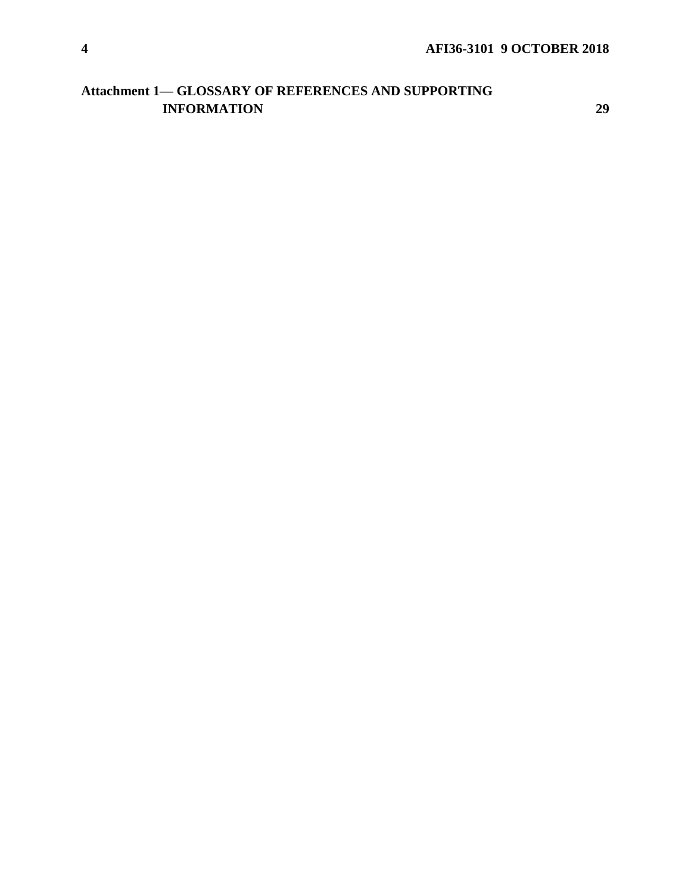# **Attachment 1— [GLOSSARY OF REFERENCES AND SUPPORTING](#page-28-0)  [INFORMATION](#page-28-0) [29](#page-28-0)**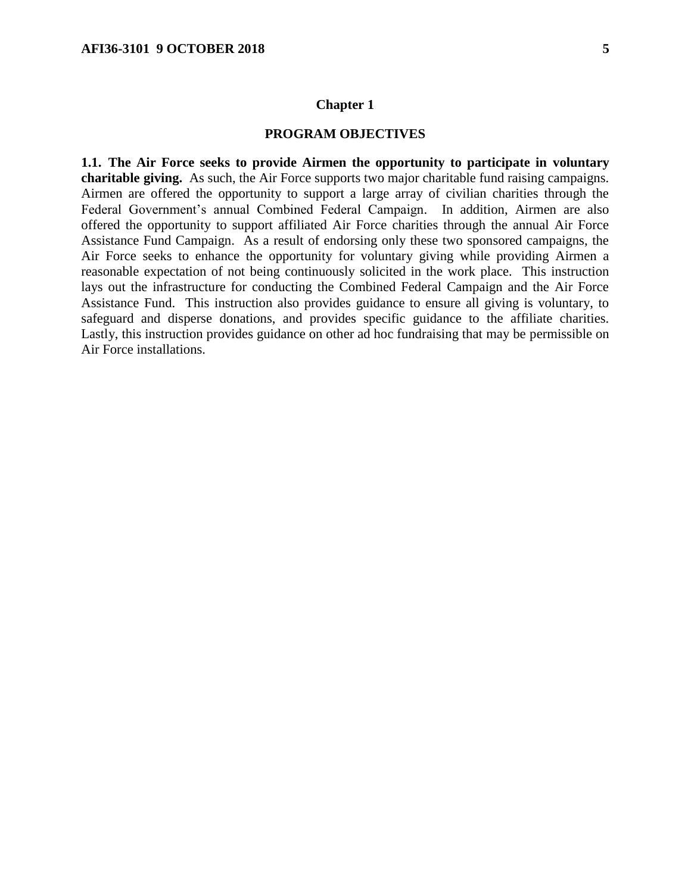#### **Chapter 1**

#### **PROGRAM OBJECTIVES**

<span id="page-4-1"></span><span id="page-4-0"></span>**1.1. The Air Force seeks to provide Airmen the opportunity to participate in voluntary charitable giving.** As such, the Air Force supports two major charitable fund raising campaigns. Airmen are offered the opportunity to support a large array of civilian charities through the Federal Government's annual Combined Federal Campaign. In addition, Airmen are also offered the opportunity to support affiliated Air Force charities through the annual Air Force Assistance Fund Campaign. As a result of endorsing only these two sponsored campaigns, the Air Force seeks to enhance the opportunity for voluntary giving while providing Airmen a reasonable expectation of not being continuously solicited in the work place. This instruction lays out the infrastructure for conducting the Combined Federal Campaign and the Air Force Assistance Fund. This instruction also provides guidance to ensure all giving is voluntary, to safeguard and disperse donations, and provides specific guidance to the affiliate charities. Lastly, this instruction provides guidance on other ad hoc fundraising that may be permissible on Air Force installations.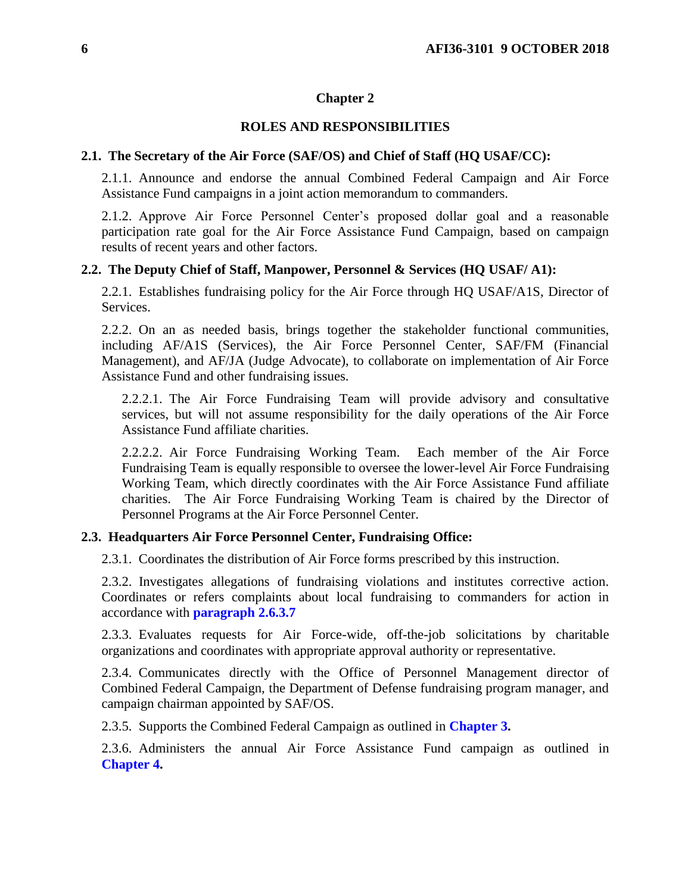### **Chapter 2**

## **ROLES AND RESPONSIBILITIES**

#### <span id="page-5-1"></span><span id="page-5-0"></span>**2.1. The Secretary of the Air Force (SAF/OS) and Chief of Staff (HQ USAF/CC):**

2.1.1. Announce and endorse the annual Combined Federal Campaign and Air Force Assistance Fund campaigns in a joint action memorandum to commanders.

2.1.2. Approve Air Force Personnel Center's proposed dollar goal and a reasonable participation rate goal for the Air Force Assistance Fund Campaign, based on campaign results of recent years and other factors.

#### <span id="page-5-2"></span>**2.2. The Deputy Chief of Staff, Manpower, Personnel & Services (HQ USAF/ A1):**

2.2.1. Establishes fundraising policy for the Air Force through HQ USAF/A1S, Director of Services.

2.2.2. On an as needed basis, brings together the stakeholder functional communities, including AF/A1S (Services), the Air Force Personnel Center, SAF/FM (Financial Management), and AF/JA (Judge Advocate), to collaborate on implementation of Air Force Assistance Fund and other fundraising issues.

2.2.2.1. The Air Force Fundraising Team will provide advisory and consultative services, but will not assume responsibility for the daily operations of the Air Force Assistance Fund affiliate charities.

2.2.2.2. Air Force Fundraising Working Team. Each member of the Air Force Fundraising Team is equally responsible to oversee the lower-level Air Force Fundraising Working Team, which directly coordinates with the Air Force Assistance Fund affiliate charities. The Air Force Fundraising Working Team is chaired by the Director of Personnel Programs at the Air Force Personnel Center.

#### <span id="page-5-3"></span>**2.3. Headquarters Air Force Personnel Center, Fundraising Office:**

2.3.1. Coordinates the distribution of Air Force forms prescribed by this instruction.

2.3.2. Investigates allegations of fundraising violations and institutes corrective action. Coordinates or refers complaints about local fundraising to commanders for action in accordance with **[paragraph](#page-7-0) 2.6.3.7**

2.3.3. Evaluates requests for Air Force-wide, off-the-job solicitations by charitable organizations and coordinates with appropriate approval authority or representative.

2.3.4. Communicates directly with the Office of Personnel Management director of Combined Federal Campaign, the Department of Defense fundraising program manager, and campaign chairman appointed by SAF/OS.

2.3.5. Supports the Combined Federal Campaign as outlined in **[Chapter](#page-9-0) 3.**

2.3.6. Administers the annual Air Force Assistance Fund campaign as outlined in **[Chapter](#page-14-0) 4.**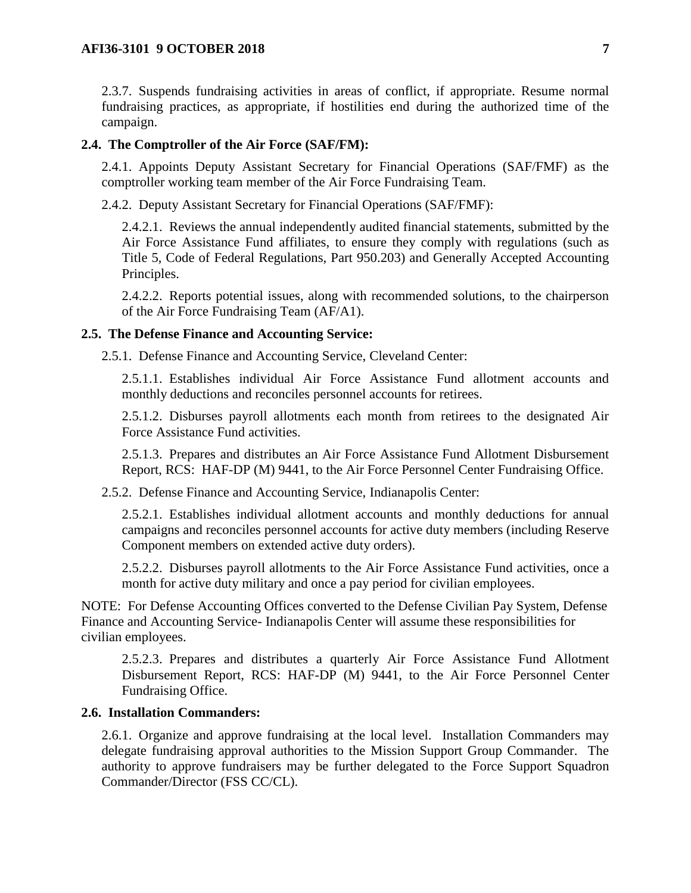2.3.7. Suspends fundraising activities in areas of conflict, if appropriate. Resume normal fundraising practices, as appropriate, if hostilities end during the authorized time of the campaign.

#### <span id="page-6-0"></span>**2.4. The Comptroller of the Air Force (SAF/FM):**

2.4.1. Appoints Deputy Assistant Secretary for Financial Operations (SAF/FMF) as the comptroller working team member of the Air Force Fundraising Team.

2.4.2. Deputy Assistant Secretary for Financial Operations (SAF/FMF):

2.4.2.1. Reviews the annual independently audited financial statements, submitted by the Air Force Assistance Fund affiliates, to ensure they comply with regulations (such as Title 5, Code of Federal Regulations, Part 950.203) and Generally Accepted Accounting Principles.

2.4.2.2. Reports potential issues, along with recommended solutions, to the chairperson of the Air Force Fundraising Team (AF/A1).

#### <span id="page-6-1"></span>**2.5. The Defense Finance and Accounting Service:**

2.5.1. Defense Finance and Accounting Service, Cleveland Center:

2.5.1.1. Establishes individual Air Force Assistance Fund allotment accounts and monthly deductions and reconciles personnel accounts for retirees.

2.5.1.2. Disburses payroll allotments each month from retirees to the designated Air Force Assistance Fund activities.

2.5.1.3. Prepares and distributes an Air Force Assistance Fund Allotment Disbursement Report, RCS: HAF-DP (M) 9441, to the Air Force Personnel Center Fundraising Office.

2.5.2. Defense Finance and Accounting Service, Indianapolis Center:

2.5.2.1. Establishes individual allotment accounts and monthly deductions for annual campaigns and reconciles personnel accounts for active duty members (including Reserve Component members on extended active duty orders).

2.5.2.2. Disburses payroll allotments to the Air Force Assistance Fund activities, once a month for active duty military and once a pay period for civilian employees.

NOTE: For Defense Accounting Offices converted to the Defense Civilian Pay System, Defense Finance and Accounting Service- Indianapolis Center will assume these responsibilities for civilian employees.

2.5.2.3. Prepares and distributes a quarterly Air Force Assistance Fund Allotment Disbursement Report, RCS: HAF-DP (M) 9441, to the Air Force Personnel Center Fundraising Office.

#### <span id="page-6-2"></span>**2.6. Installation Commanders:**

2.6.1. Organize and approve fundraising at the local level. Installation Commanders may delegate fundraising approval authorities to the Mission Support Group Commander. The authority to approve fundraisers may be further delegated to the Force Support Squadron Commander/Director (FSS CC/CL).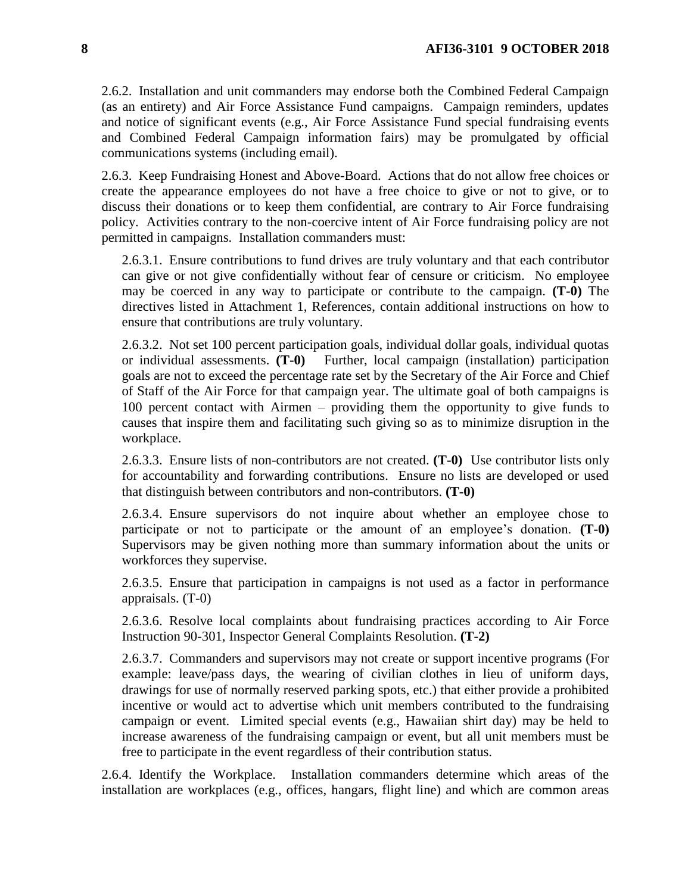2.6.2. Installation and unit commanders may endorse both the Combined Federal Campaign (as an entirety) and Air Force Assistance Fund campaigns. Campaign reminders, updates and notice of significant events (e.g., Air Force Assistance Fund special fundraising events and Combined Federal Campaign information fairs) may be promulgated by official communications systems (including email).

2.6.3. Keep Fundraising Honest and Above-Board. Actions that do not allow free choices or create the appearance employees do not have a free choice to give or not to give, or to discuss their donations or to keep them confidential, are contrary to Air Force fundraising policy. Activities contrary to the non-coercive intent of Air Force fundraising policy are not permitted in campaigns. Installation commanders must:

2.6.3.1. Ensure contributions to fund drives are truly voluntary and that each contributor can give or not give confidentially without fear of censure or criticism. No employee may be coerced in any way to participate or contribute to the campaign. **(T-0)** The directives listed in Attachment 1, References, contain additional instructions on how to ensure that contributions are truly voluntary.

2.6.3.2. Not set 100 percent participation goals, individual dollar goals, individual quotas or individual assessments. **(T-0)** Further, local campaign (installation) participation goals are not to exceed the percentage rate set by the Secretary of the Air Force and Chief of Staff of the Air Force for that campaign year. The ultimate goal of both campaigns is 100 percent contact with Airmen – providing them the opportunity to give funds to causes that inspire them and facilitating such giving so as to minimize disruption in the workplace.

2.6.3.3. Ensure lists of non-contributors are not created. **(T-0)** Use contributor lists only for accountability and forwarding contributions. Ensure no lists are developed or used that distinguish between contributors and non-contributors. **(T-0)**

2.6.3.4. Ensure supervisors do not inquire about whether an employee chose to participate or not to participate or the amount of an employee's donation. **(T-0)** Supervisors may be given nothing more than summary information about the units or workforces they supervise.

2.6.3.5. Ensure that participation in campaigns is not used as a factor in performance appraisals. (T-0)

2.6.3.6. Resolve local complaints about fundraising practices according to Air Force Instruction 90-301, Inspector General Complaints Resolution. **(T-2)** 

<span id="page-7-0"></span>2.6.3.7. Commanders and supervisors may not create or support incentive programs (For example: leave/pass days, the wearing of civilian clothes in lieu of uniform days, drawings for use of normally reserved parking spots, etc.) that either provide a prohibited incentive or would act to advertise which unit members contributed to the fundraising campaign or event. Limited special events (e.g., Hawaiian shirt day) may be held to increase awareness of the fundraising campaign or event, but all unit members must be free to participate in the event regardless of their contribution status.

2.6.4. Identify the Workplace. Installation commanders determine which areas of the installation are workplaces (e.g., offices, hangars, flight line) and which are common areas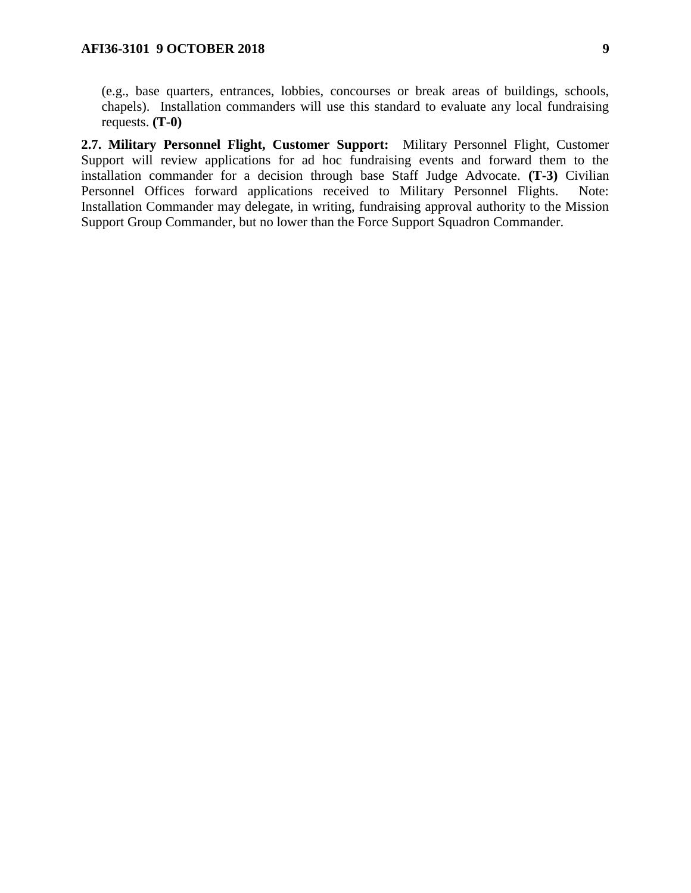(e.g., base quarters, entrances, lobbies, concourses or break areas of buildings, schools, chapels). Installation commanders will use this standard to evaluate any local fundraising requests. **(T-0)**

<span id="page-8-0"></span>**2.7. Military Personnel Flight, Customer Support:** Military Personnel Flight, Customer Support will review applications for ad hoc fundraising events and forward them to the installation commander for a decision through base Staff Judge Advocate. **(T-3)** Civilian Personnel Offices forward applications received to Military Personnel Flights. Note: Installation Commander may delegate, in writing, fundraising approval authority to the Mission Support Group Commander, but no lower than the Force Support Squadron Commander.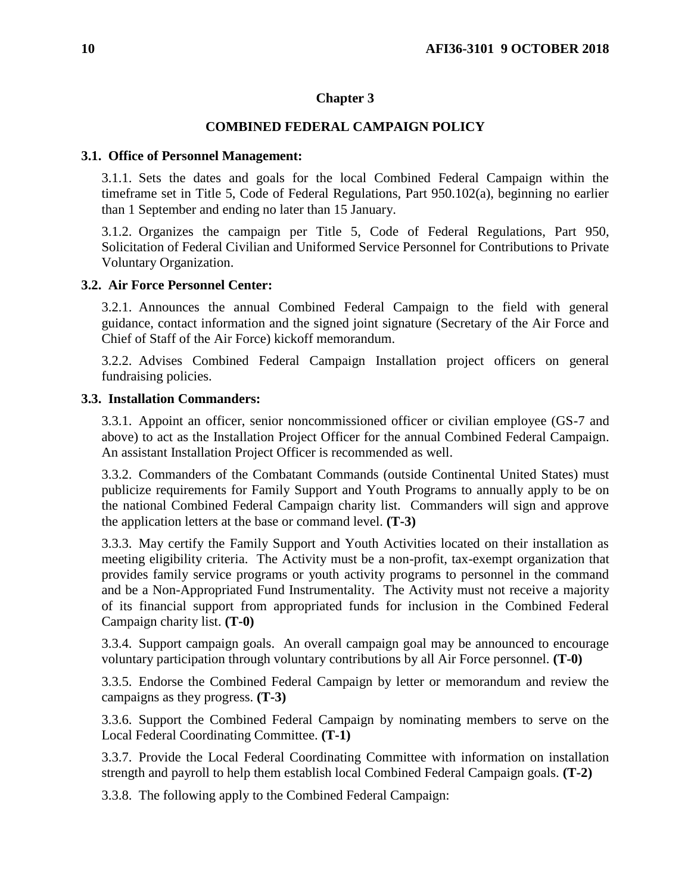## **Chapter 3**

## **COMBINED FEDERAL CAMPAIGN POLICY**

#### <span id="page-9-1"></span><span id="page-9-0"></span>**3.1. Office of Personnel Management:**

3.1.1. Sets the dates and goals for the local Combined Federal Campaign within the timeframe set in Title 5, Code of Federal Regulations, Part 950.102(a), beginning no earlier than 1 September and ending no later than 15 January.

3.1.2. Organizes the campaign per Title 5, Code of Federal Regulations, Part 950, Solicitation of Federal Civilian and Uniformed Service Personnel for Contributions to Private Voluntary Organization.

## <span id="page-9-2"></span>**3.2. Air Force Personnel Center:**

3.2.1. Announces the annual Combined Federal Campaign to the field with general guidance, contact information and the signed joint signature (Secretary of the Air Force and Chief of Staff of the Air Force) kickoff memorandum.

3.2.2. Advises Combined Federal Campaign Installation project officers on general fundraising policies.

#### <span id="page-9-3"></span>**3.3. Installation Commanders:**

3.3.1. Appoint an officer, senior noncommissioned officer or civilian employee (GS-7 and above) to act as the Installation Project Officer for the annual Combined Federal Campaign. An assistant Installation Project Officer is recommended as well.

3.3.2. Commanders of the Combatant Commands (outside Continental United States) must publicize requirements for Family Support and Youth Programs to annually apply to be on the national Combined Federal Campaign charity list. Commanders will sign and approve the application letters at the base or command level. **(T-3)**

3.3.3. May certify the Family Support and Youth Activities located on their installation as meeting eligibility criteria. The Activity must be a non-profit, tax-exempt organization that provides family service programs or youth activity programs to personnel in the command and be a Non-Appropriated Fund Instrumentality. The Activity must not receive a majority of its financial support from appropriated funds for inclusion in the Combined Federal Campaign charity list. **(T-0)**

3.3.4. Support campaign goals. An overall campaign goal may be announced to encourage voluntary participation through voluntary contributions by all Air Force personnel. **(T-0)** 

3.3.5. Endorse the Combined Federal Campaign by letter or memorandum and review the campaigns as they progress. **(T-3)**

3.3.6. Support the Combined Federal Campaign by nominating members to serve on the Local Federal Coordinating Committee. **(T-1)**

3.3.7. Provide the Local Federal Coordinating Committee with information on installation strength and payroll to help them establish local Combined Federal Campaign goals. **(T-2)**

3.3.8. The following apply to the Combined Federal Campaign: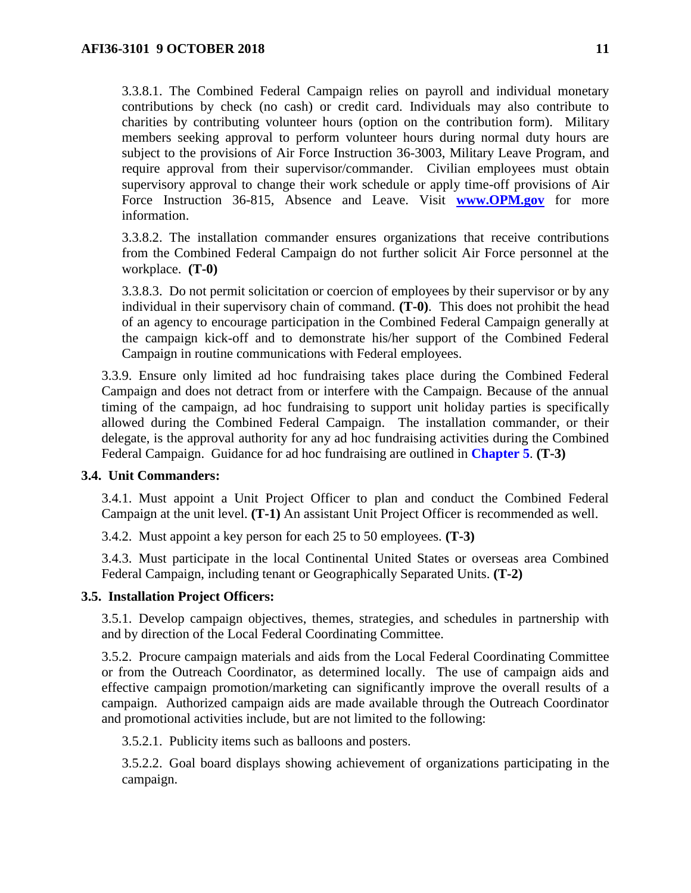3.3.8.1. The Combined Federal Campaign relies on payroll and individual monetary contributions by check (no cash) or credit card. Individuals may also contribute to charities by contributing volunteer hours (option on the contribution form). Military members seeking approval to perform volunteer hours during normal duty hours are subject to the provisions of Air Force Instruction 36-3003, Military Leave Program, and require approval from their supervisor/commander. Civilian employees must obtain supervisory approval to change their work schedule or apply time-off provisions of Air Force Instruction 36-815, Absence and Leave. Visit **[www.OPM.gov](http://www.opm.gov/)** for more information.

3.3.8.2. The installation commander ensures organizations that receive contributions from the Combined Federal Campaign do not further solicit Air Force personnel at the workplace. **(T-0)**

3.3.8.3. Do not permit solicitation or coercion of employees by their supervisor or by any individual in their supervisory chain of command. **(T-0)**. This does not prohibit the head of an agency to encourage participation in the Combined Federal Campaign generally at the campaign kick-off and to demonstrate his/her support of the Combined Federal Campaign in routine communications with Federal employees.

3.3.9. Ensure only limited ad hoc fundraising takes place during the Combined Federal Campaign and does not detract from or interfere with the Campaign. Because of the annual timing of the campaign, ad hoc fundraising to support unit holiday parties is specifically allowed during the Combined Federal Campaign. The installation commander, or their delegate, is the approval authority for any ad hoc fundraising activities during the Combined Federal Campaign. Guidance for ad hoc fundraising are outlined in **[Chapter](#page-23-0) 5**. **(T-3)** 

## <span id="page-10-0"></span>**3.4. Unit Commanders:**

3.4.1. Must appoint a Unit Project Officer to plan and conduct the Combined Federal Campaign at the unit level. **(T-1)** An assistant Unit Project Officer is recommended as well.

3.4.2. Must appoint a key person for each 25 to 50 employees. **(T-3)**

3.4.3. Must participate in the local Continental United States or overseas area Combined Federal Campaign, including tenant or Geographically Separated Units. **(T-2)**

#### <span id="page-10-1"></span>**3.5. Installation Project Officers:**

3.5.1. Develop campaign objectives, themes, strategies, and schedules in partnership with and by direction of the Local Federal Coordinating Committee.

3.5.2. Procure campaign materials and aids from the Local Federal Coordinating Committee or from the Outreach Coordinator, as determined locally. The use of campaign aids and effective campaign promotion/marketing can significantly improve the overall results of a campaign. Authorized campaign aids are made available through the Outreach Coordinator and promotional activities include, but are not limited to the following:

3.5.2.1. Publicity items such as balloons and posters.

3.5.2.2. Goal board displays showing achievement of organizations participating in the campaign.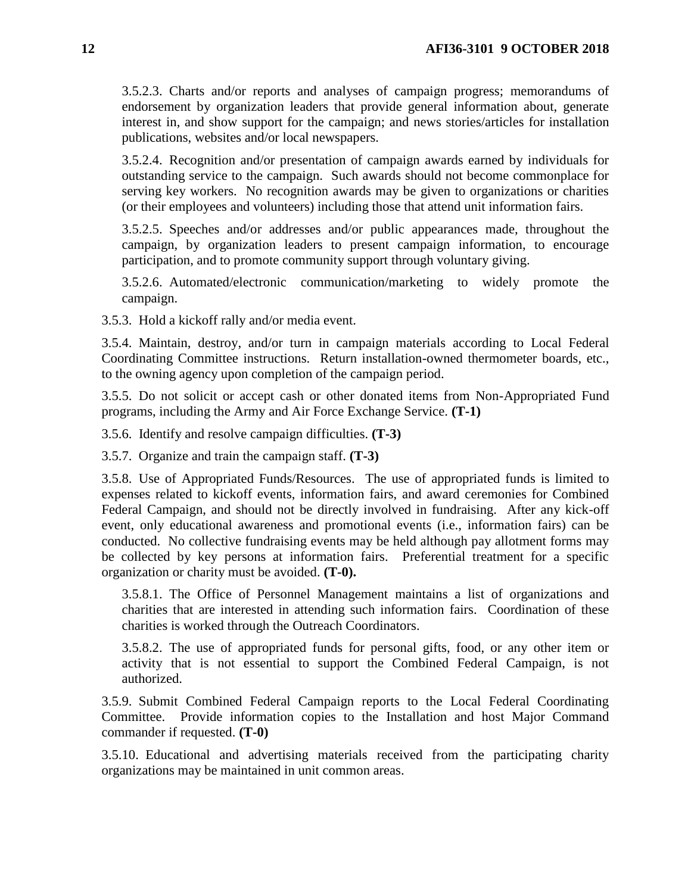3.5.2.3. Charts and/or reports and analyses of campaign progress; memorandums of endorsement by organization leaders that provide general information about, generate interest in, and show support for the campaign; and news stories/articles for installation publications, websites and/or local newspapers.

3.5.2.4. Recognition and/or presentation of campaign awards earned by individuals for outstanding service to the campaign. Such awards should not become commonplace for serving key workers. No recognition awards may be given to organizations or charities (or their employees and volunteers) including those that attend unit information fairs.

3.5.2.5. Speeches and/or addresses and/or public appearances made, throughout the campaign, by organization leaders to present campaign information, to encourage participation, and to promote community support through voluntary giving.

3.5.2.6. Automated/electronic communication/marketing to widely promote the campaign.

3.5.3. Hold a kickoff rally and/or media event.

3.5.4. Maintain, destroy, and/or turn in campaign materials according to Local Federal Coordinating Committee instructions. Return installation-owned thermometer boards, etc., to the owning agency upon completion of the campaign period.

3.5.5. Do not solicit or accept cash or other donated items from Non-Appropriated Fund programs, including the Army and Air Force Exchange Service. **(T-1)**

3.5.6. Identify and resolve campaign difficulties. **(T-3)**

3.5.7. Organize and train the campaign staff. **(T-3)**

3.5.8. Use of Appropriated Funds/Resources. The use of appropriated funds is limited to expenses related to kickoff events, information fairs, and award ceremonies for Combined Federal Campaign, and should not be directly involved in fundraising. After any kick-off event, only educational awareness and promotional events (i.e., information fairs) can be conducted. No collective fundraising events may be held although pay allotment forms may be collected by key persons at information fairs. Preferential treatment for a specific organization or charity must be avoided. **(T-0).** 

3.5.8.1. The Office of Personnel Management maintains a list of organizations and charities that are interested in attending such information fairs. Coordination of these charities is worked through the Outreach Coordinators.

3.5.8.2. The use of appropriated funds for personal gifts, food, or any other item or activity that is not essential to support the Combined Federal Campaign, is not authorized.

3.5.9. Submit Combined Federal Campaign reports to the Local Federal Coordinating Committee. Provide information copies to the Installation and host Major Command commander if requested. **(T-0)**

3.5.10. Educational and advertising materials received from the participating charity organizations may be maintained in unit common areas.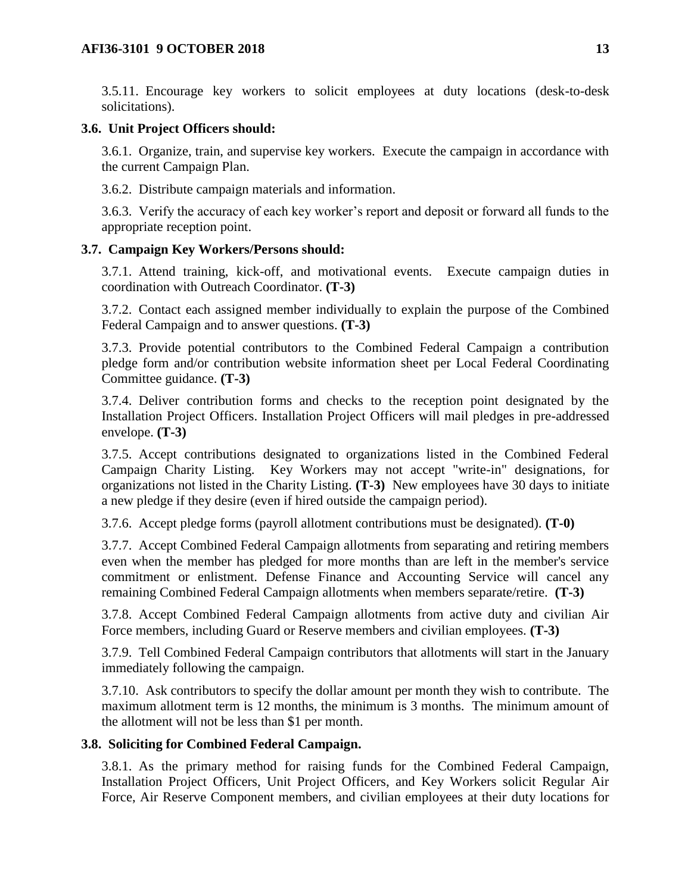3.5.11. Encourage key workers to solicit employees at duty locations (desk-to-desk solicitations).

#### <span id="page-12-0"></span>**3.6. Unit Project Officers should:**

3.6.1. Organize, train, and supervise key workers. Execute the campaign in accordance with the current Campaign Plan.

3.6.2. Distribute campaign materials and information.

3.6.3. Verify the accuracy of each key worker's report and deposit or forward all funds to the appropriate reception point.

### <span id="page-12-1"></span>**3.7. Campaign Key Workers/Persons should:**

3.7.1. Attend training, kick-off, and motivational events. Execute campaign duties in coordination with Outreach Coordinator. **(T-3)**

3.7.2. Contact each assigned member individually to explain the purpose of the Combined Federal Campaign and to answer questions. **(T-3)**

3.7.3. Provide potential contributors to the Combined Federal Campaign a contribution pledge form and/or contribution website information sheet per Local Federal Coordinating Committee guidance. **(T-3)**

3.7.4. Deliver contribution forms and checks to the reception point designated by the Installation Project Officers. Installation Project Officers will mail pledges in pre-addressed envelope. **(T-3)**

3.7.5. Accept contributions designated to organizations listed in the Combined Federal Campaign Charity Listing. Key Workers may not accept "write-in" designations, for organizations not listed in the Charity Listing. **(T-3)** New employees have 30 days to initiate a new pledge if they desire (even if hired outside the campaign period).

3.7.6. Accept pledge forms (payroll allotment contributions must be designated). **(T-0)**

3.7.7. Accept Combined Federal Campaign allotments from separating and retiring members even when the member has pledged for more months than are left in the member's service commitment or enlistment. Defense Finance and Accounting Service will cancel any remaining Combined Federal Campaign allotments when members separate/retire. **(T-3)**

3.7.8. Accept Combined Federal Campaign allotments from active duty and civilian Air Force members, including Guard or Reserve members and civilian employees. **(T-3)** 

3.7.9. Tell Combined Federal Campaign contributors that allotments will start in the January immediately following the campaign.

3.7.10. Ask contributors to specify the dollar amount per month they wish to contribute. The maximum allotment term is 12 months, the minimum is 3 months. The minimum amount of the allotment will not be less than \$1 per month.

## <span id="page-12-2"></span>**3.8. Soliciting for Combined Federal Campaign.**

3.8.1. As the primary method for raising funds for the Combined Federal Campaign, Installation Project Officers, Unit Project Officers, and Key Workers solicit Regular Air Force, Air Reserve Component members, and civilian employees at their duty locations for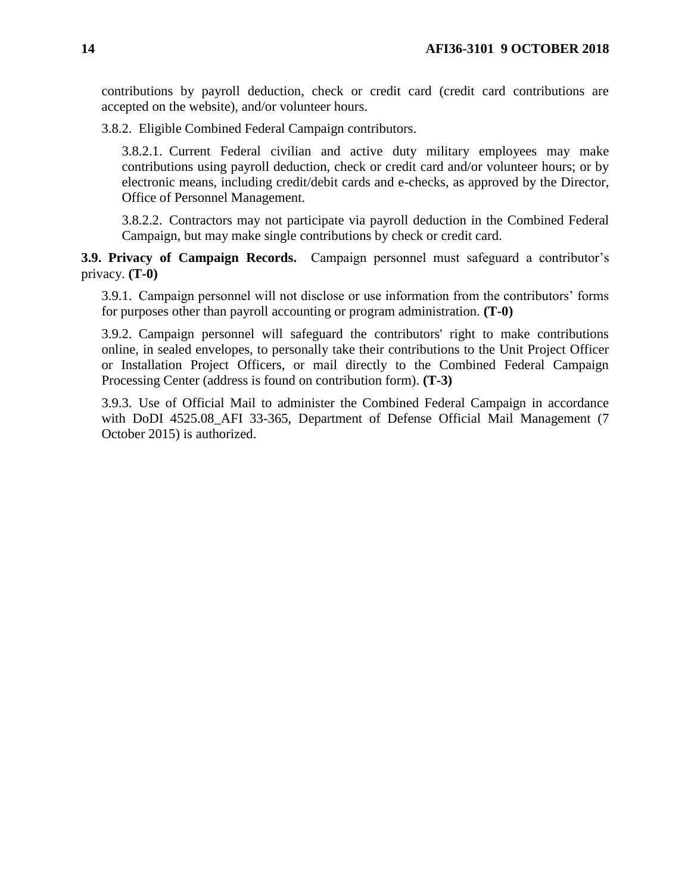contributions by payroll deduction, check or credit card (credit card contributions are accepted on the website), and/or volunteer hours.

3.8.2. Eligible Combined Federal Campaign contributors.

3.8.2.1. Current Federal civilian and active duty military employees may make contributions using payroll deduction, check or credit card and/or volunteer hours; or by electronic means, including credit/debit cards and e-checks, as approved by the Director, Office of Personnel Management.

3.8.2.2. Contractors may not participate via payroll deduction in the Combined Federal Campaign, but may make single contributions by check or credit card.

<span id="page-13-0"></span>**3.9. Privacy of Campaign Records.** Campaign personnel must safeguard a contributor's privacy. **(T-0)**

3.9.1. Campaign personnel will not disclose or use information from the contributors' forms for purposes other than payroll accounting or program administration. **(T-0)**

3.9.2. Campaign personnel will safeguard the contributors' right to make contributions online, in sealed envelopes, to personally take their contributions to the Unit Project Officer or Installation Project Officers, or mail directly to the Combined Federal Campaign Processing Center (address is found on contribution form). **(T-3)**

3.9.3. Use of Official Mail to administer the Combined Federal Campaign in accordance with DoDI 4525.08 AFI 33-365, Department of Defense Official Mail Management (7 October 2015) is authorized.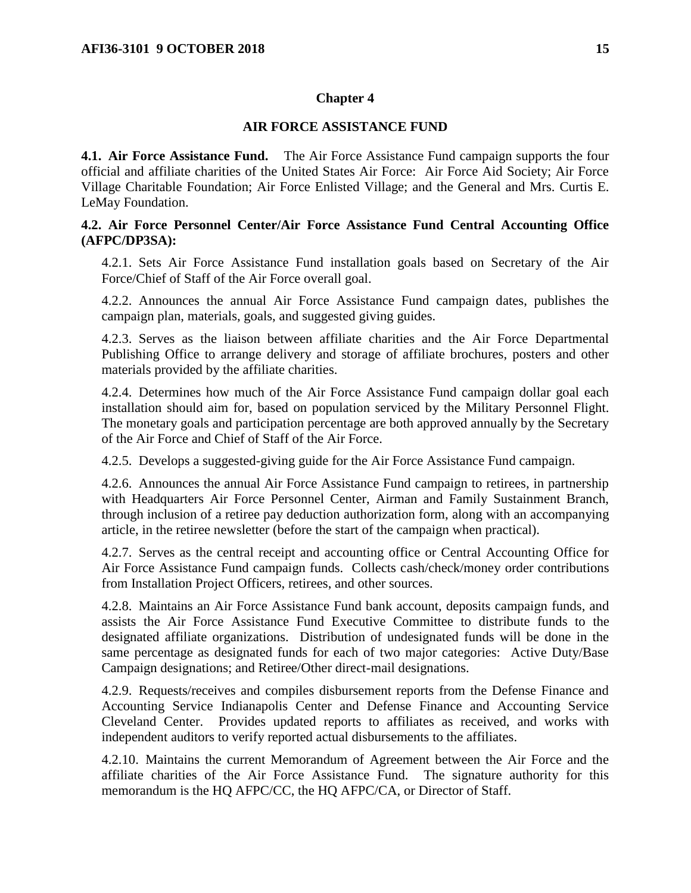### **Chapter 4**

#### **AIR FORCE ASSISTANCE FUND**

<span id="page-14-1"></span><span id="page-14-0"></span>**4.1. Air Force Assistance Fund.** The Air Force Assistance Fund campaign supports the four official and affiliate charities of the United States Air Force: Air Force Aid Society; Air Force Village Charitable Foundation; Air Force Enlisted Village; and the General and Mrs. Curtis E. LeMay Foundation.

## <span id="page-14-2"></span>**4.2. Air Force Personnel Center/Air Force Assistance Fund Central Accounting Office (AFPC/DP3SA):**

4.2.1. Sets Air Force Assistance Fund installation goals based on Secretary of the Air Force/Chief of Staff of the Air Force overall goal.

4.2.2. Announces the annual Air Force Assistance Fund campaign dates, publishes the campaign plan, materials, goals, and suggested giving guides.

4.2.3. Serves as the liaison between affiliate charities and the Air Force Departmental Publishing Office to arrange delivery and storage of affiliate brochures, posters and other materials provided by the affiliate charities.

4.2.4. Determines how much of the Air Force Assistance Fund campaign dollar goal each installation should aim for, based on population serviced by the Military Personnel Flight. The monetary goals and participation percentage are both approved annually by the Secretary of the Air Force and Chief of Staff of the Air Force.

4.2.5. Develops a suggested-giving guide for the Air Force Assistance Fund campaign.

4.2.6. Announces the annual Air Force Assistance Fund campaign to retirees, in partnership with Headquarters Air Force Personnel Center, Airman and Family Sustainment Branch, through inclusion of a retiree pay deduction authorization form, along with an accompanying article, in the retiree newsletter (before the start of the campaign when practical).

4.2.7. Serves as the central receipt and accounting office or Central Accounting Office for Air Force Assistance Fund campaign funds. Collects cash/check/money order contributions from Installation Project Officers, retirees, and other sources.

4.2.8. Maintains an Air Force Assistance Fund bank account, deposits campaign funds, and assists the Air Force Assistance Fund Executive Committee to distribute funds to the designated affiliate organizations. Distribution of undesignated funds will be done in the same percentage as designated funds for each of two major categories: Active Duty/Base Campaign designations; and Retiree/Other direct-mail designations.

4.2.9. Requests/receives and compiles disbursement reports from the Defense Finance and Accounting Service Indianapolis Center and Defense Finance and Accounting Service Cleveland Center. Provides updated reports to affiliates as received, and works with independent auditors to verify reported actual disbursements to the affiliates.

4.2.10. Maintains the current Memorandum of Agreement between the Air Force and the affiliate charities of the Air Force Assistance Fund. The signature authority for this memorandum is the HQ AFPC/CC, the HQ AFPC/CA, or Director of Staff.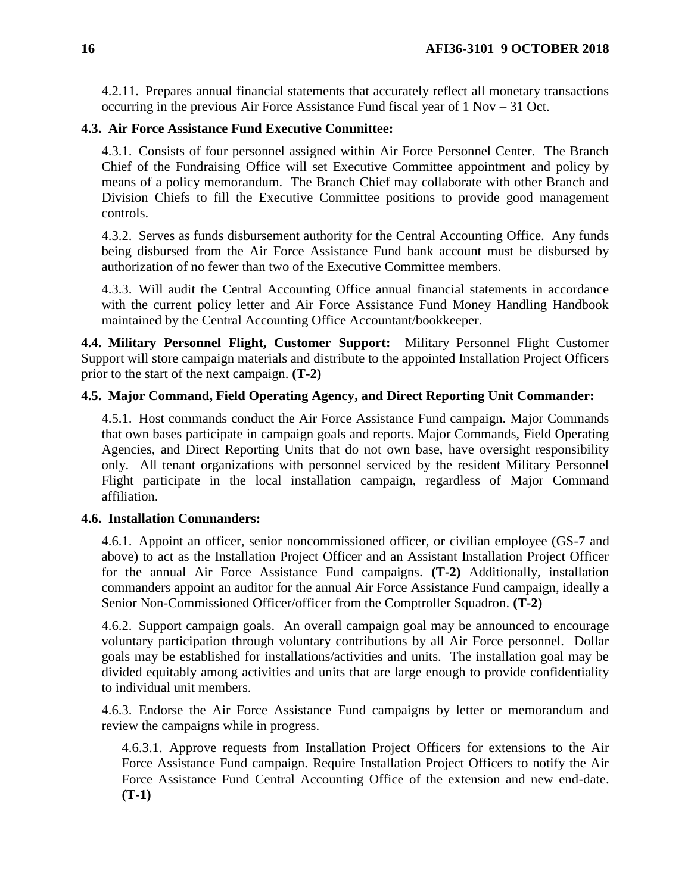4.2.11. Prepares annual financial statements that accurately reflect all monetary transactions occurring in the previous Air Force Assistance Fund fiscal year of 1 Nov – 31 Oct.

## <span id="page-15-0"></span>**4.3. Air Force Assistance Fund Executive Committee:**

4.3.1. Consists of four personnel assigned within Air Force Personnel Center. The Branch Chief of the Fundraising Office will set Executive Committee appointment and policy by means of a policy memorandum. The Branch Chief may collaborate with other Branch and Division Chiefs to fill the Executive Committee positions to provide good management controls.

4.3.2. Serves as funds disbursement authority for the Central Accounting Office. Any funds being disbursed from the Air Force Assistance Fund bank account must be disbursed by authorization of no fewer than two of the Executive Committee members.

4.3.3. Will audit the Central Accounting Office annual financial statements in accordance with the current policy letter and Air Force Assistance Fund Money Handling Handbook maintained by the Central Accounting Office Accountant/bookkeeper.

<span id="page-15-1"></span>**4.4. Military Personnel Flight, Customer Support:** Military Personnel Flight Customer Support will store campaign materials and distribute to the appointed Installation Project Officers prior to the start of the next campaign. **(T-2)**

## <span id="page-15-2"></span>**4.5. Major Command, Field Operating Agency, and Direct Reporting Unit Commander:**

4.5.1. Host commands conduct the Air Force Assistance Fund campaign. Major Commands that own bases participate in campaign goals and reports. Major Commands, Field Operating Agencies, and Direct Reporting Units that do not own base, have oversight responsibility only. All tenant organizations with personnel serviced by the resident Military Personnel Flight participate in the local installation campaign, regardless of Major Command affiliation.

## <span id="page-15-3"></span>**4.6. Installation Commanders:**

4.6.1. Appoint an officer, senior noncommissioned officer, or civilian employee (GS-7 and above) to act as the Installation Project Officer and an Assistant Installation Project Officer for the annual Air Force Assistance Fund campaigns. **(T-2)** Additionally, installation commanders appoint an auditor for the annual Air Force Assistance Fund campaign, ideally a Senior Non-Commissioned Officer/officer from the Comptroller Squadron. **(T-2)** 

4.6.2. Support campaign goals. An overall campaign goal may be announced to encourage voluntary participation through voluntary contributions by all Air Force personnel. Dollar goals may be established for installations/activities and units. The installation goal may be divided equitably among activities and units that are large enough to provide confidentiality to individual unit members.

4.6.3. Endorse the Air Force Assistance Fund campaigns by letter or memorandum and review the campaigns while in progress.

4.6.3.1. Approve requests from Installation Project Officers for extensions to the Air Force Assistance Fund campaign. Require Installation Project Officers to notify the Air Force Assistance Fund Central Accounting Office of the extension and new end-date. **(T-1)**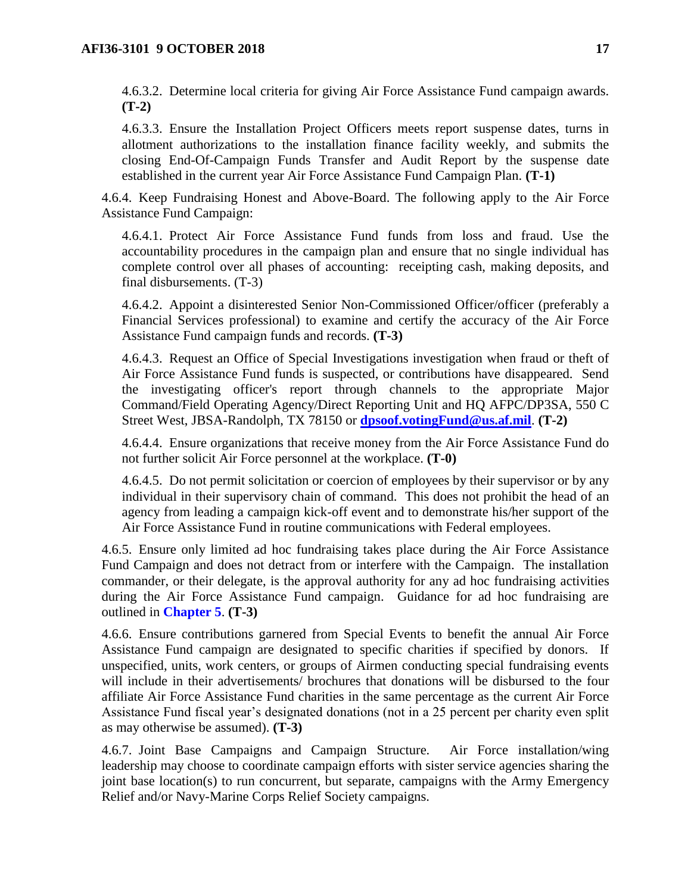4.6.3.2. Determine local criteria for giving Air Force Assistance Fund campaign awards. **(T-2)**

4.6.3.3. Ensure the Installation Project Officers meets report suspense dates, turns in allotment authorizations to the installation finance facility weekly, and submits the closing End-Of-Campaign Funds Transfer and Audit Report by the suspense date established in the current year Air Force Assistance Fund Campaign Plan. **(T-1)**

4.6.4. Keep Fundraising Honest and Above-Board. The following apply to the Air Force Assistance Fund Campaign:

4.6.4.1. Protect Air Force Assistance Fund funds from loss and fraud. Use the accountability procedures in the campaign plan and ensure that no single individual has complete control over all phases of accounting: receipting cash, making deposits, and final disbursements. (T-3)

4.6.4.2. Appoint a disinterested Senior Non-Commissioned Officer/officer (preferably a Financial Services professional) to examine and certify the accuracy of the Air Force Assistance Fund campaign funds and records. **(T-3)**

4.6.4.3. Request an Office of Special Investigations investigation when fraud or theft of Air Force Assistance Fund funds is suspected, or contributions have disappeared. Send the investigating officer's report through channels to the appropriate Major Command/Field Operating Agency/Direct Reporting Unit and HQ AFPC/DP3SA, 550 C Street West, JBSA-Randolph, TX 78150 or **[dpsoof.votingFund@us.af.mil](mailto:dpsoof.votingFund@us.af.mil)**. **(T-2)**

4.6.4.4. Ensure organizations that receive money from the Air Force Assistance Fund do not further solicit Air Force personnel at the workplace. **(T-0)**

4.6.4.5. Do not permit solicitation or coercion of employees by their supervisor or by any individual in their supervisory chain of command. This does not prohibit the head of an agency from leading a campaign kick-off event and to demonstrate his/her support of the Air Force Assistance Fund in routine communications with Federal employees.

4.6.5. Ensure only limited ad hoc fundraising takes place during the Air Force Assistance Fund Campaign and does not detract from or interfere with the Campaign. The installation commander, or their delegate, is the approval authority for any ad hoc fundraising activities during the Air Force Assistance Fund campaign. Guidance for ad hoc fundraising are outlined in **[Chapter](#page-23-0) 5**. **(T-3)** 

4.6.6. Ensure contributions garnered from Special Events to benefit the annual Air Force Assistance Fund campaign are designated to specific charities if specified by donors. If unspecified, units, work centers, or groups of Airmen conducting special fundraising events will include in their advertisements/ brochures that donations will be disbursed to the four affiliate Air Force Assistance Fund charities in the same percentage as the current Air Force Assistance Fund fiscal year's designated donations (not in a 25 percent per charity even split as may otherwise be assumed). **(T-3)**

4.6.7. Joint Base Campaigns and Campaign Structure. Air Force installation/wing leadership may choose to coordinate campaign efforts with sister service agencies sharing the joint base location(s) to run concurrent, but separate, campaigns with the Army Emergency Relief and/or Navy-Marine Corps Relief Society campaigns.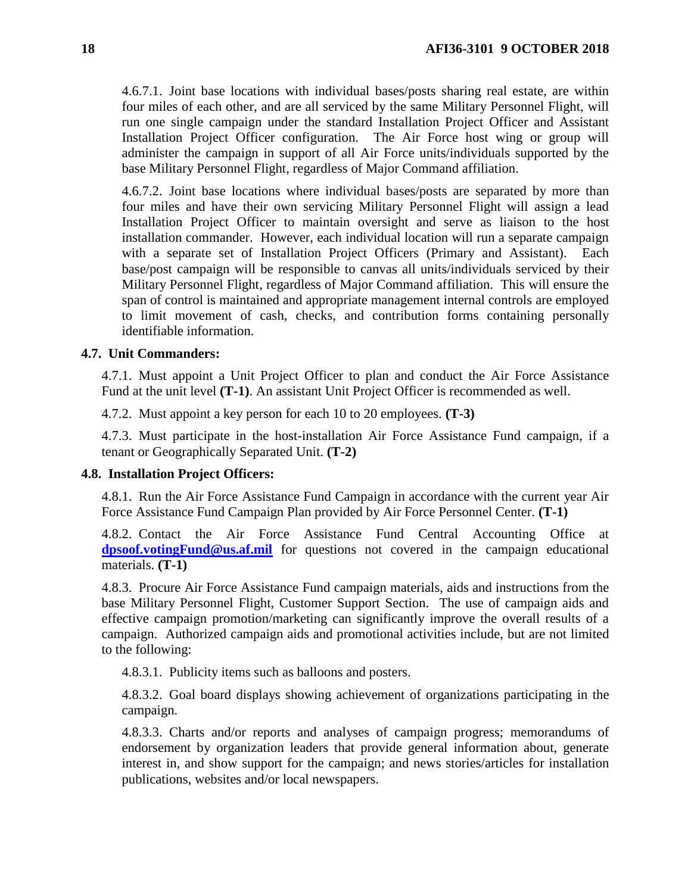4.6.7.1. Joint base locations with individual bases/posts sharing real estate, are within four miles of each other, and are all serviced by the same Military Personnel Flight, will run one single campaign under the standard Installation Project Officer and Assistant Installation Project Officer configuration. The Air Force host wing or group will administer the campaign in support of all Air Force units/individuals supported by the base Military Personnel Flight, regardless of Major Command affiliation.

4.6.7.2. Joint base locations where individual bases/posts are separated by more than four miles and have their own servicing Military Personnel Flight will assign a lead Installation Project Officer to maintain oversight and serve as liaison to the host installation commander. However, each individual location will run a separate campaign with a separate set of Installation Project Officers (Primary and Assistant). Each base/post campaign will be responsible to canvas all units/individuals serviced by their Military Personnel Flight, regardless of Major Command affiliation. This will ensure the span of control is maintained and appropriate management internal controls are employed to limit movement of cash, checks, and contribution forms containing personally identifiable information.

## <span id="page-17-0"></span>**4.7. Unit Commanders:**

4.7.1. Must appoint a Unit Project Officer to plan and conduct the Air Force Assistance Fund at the unit level **(T-1)**. An assistant Unit Project Officer is recommended as well.

4.7.2. Must appoint a key person for each 10 to 20 employees. **(T-3)**

4.7.3. Must participate in the host-installation Air Force Assistance Fund campaign, if a tenant or Geographically Separated Unit. **(T-2)**

#### <span id="page-17-1"></span>**4.8. Installation Project Officers:**

4.8.1. Run the Air Force Assistance Fund Campaign in accordance with the current year Air Force Assistance Fund Campaign Plan provided by Air Force Personnel Center. **(T-1)**

4.8.2. Contact the Air Force Assistance Fund Central Accounting Office at **[dpsoof.votingFund@us.af.mil](mailto:dpsoof.votingFund@us.af.mil)** for questions not covered in the campaign educational materials. **(T-1)**

4.8.3. Procure Air Force Assistance Fund campaign materials, aids and instructions from the base Military Personnel Flight, Customer Support Section. The use of campaign aids and effective campaign promotion/marketing can significantly improve the overall results of a campaign. Authorized campaign aids and promotional activities include, but are not limited to the following:

4.8.3.1. Publicity items such as balloons and posters.

4.8.3.2. Goal board displays showing achievement of organizations participating in the campaign.

4.8.3.3. Charts and/or reports and analyses of campaign progress; memorandums of endorsement by organization leaders that provide general information about, generate interest in, and show support for the campaign; and news stories/articles for installation publications, websites and/or local newspapers.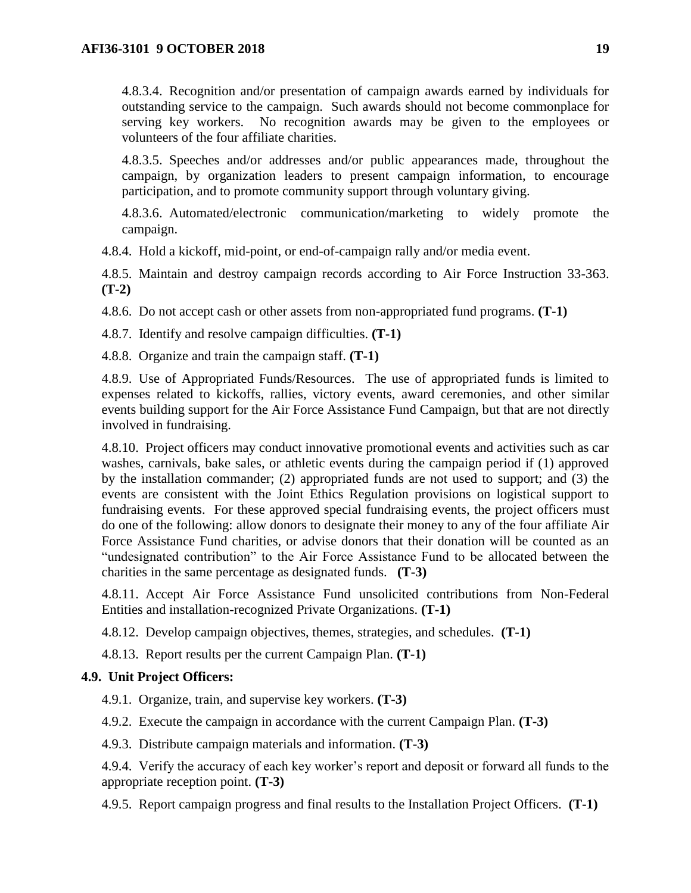4.8.3.4. Recognition and/or presentation of campaign awards earned by individuals for outstanding service to the campaign. Such awards should not become commonplace for serving key workers. No recognition awards may be given to the employees or volunteers of the four affiliate charities.

4.8.3.5. Speeches and/or addresses and/or public appearances made, throughout the campaign, by organization leaders to present campaign information, to encourage participation, and to promote community support through voluntary giving.

4.8.3.6. Automated/electronic communication/marketing to widely promote the campaign.

4.8.4. Hold a kickoff, mid-point, or end-of-campaign rally and/or media event.

4.8.5. Maintain and destroy campaign records according to Air Force Instruction 33-363. **(T-2)**

4.8.6. Do not accept cash or other assets from non-appropriated fund programs. **(T-1)** 

4.8.7. Identify and resolve campaign difficulties. **(T-1)**

4.8.8. Organize and train the campaign staff. **(T-1)**

4.8.9. Use of Appropriated Funds/Resources. The use of appropriated funds is limited to expenses related to kickoffs, rallies, victory events, award ceremonies, and other similar events building support for the Air Force Assistance Fund Campaign, but that are not directly involved in fundraising.

<span id="page-18-1"></span>4.8.10. Project officers may conduct innovative promotional events and activities such as car washes, carnivals, bake sales, or athletic events during the campaign period if (1) approved by the installation commander; (2) appropriated funds are not used to support; and (3) the events are consistent with the Joint Ethics Regulation provisions on logistical support to fundraising events. For these approved special fundraising events, the project officers must do one of the following: allow donors to designate their money to any of the four affiliate Air Force Assistance Fund charities, or advise donors that their donation will be counted as an "undesignated contribution" to the Air Force Assistance Fund to be allocated between the charities in the same percentage as designated funds. **(T-3)** 

4.8.11. Accept Air Force Assistance Fund unsolicited contributions from Non-Federal Entities and installation-recognized Private Organizations. **(T-1)**

4.8.12. Develop campaign objectives, themes, strategies, and schedules. **(T-1)**

4.8.13. Report results per the current Campaign Plan. **(T-1)**

## <span id="page-18-0"></span>**4.9. Unit Project Officers:**

4.9.1. Organize, train, and supervise key workers. **(T-3)** 

4.9.2. Execute the campaign in accordance with the current Campaign Plan. **(T-3)**

4.9.3. Distribute campaign materials and information. **(T-3)**

4.9.4. Verify the accuracy of each key worker's report and deposit or forward all funds to the appropriate reception point. **(T-3)**

4.9.5. Report campaign progress and final results to the Installation Project Officers. **(T-1)**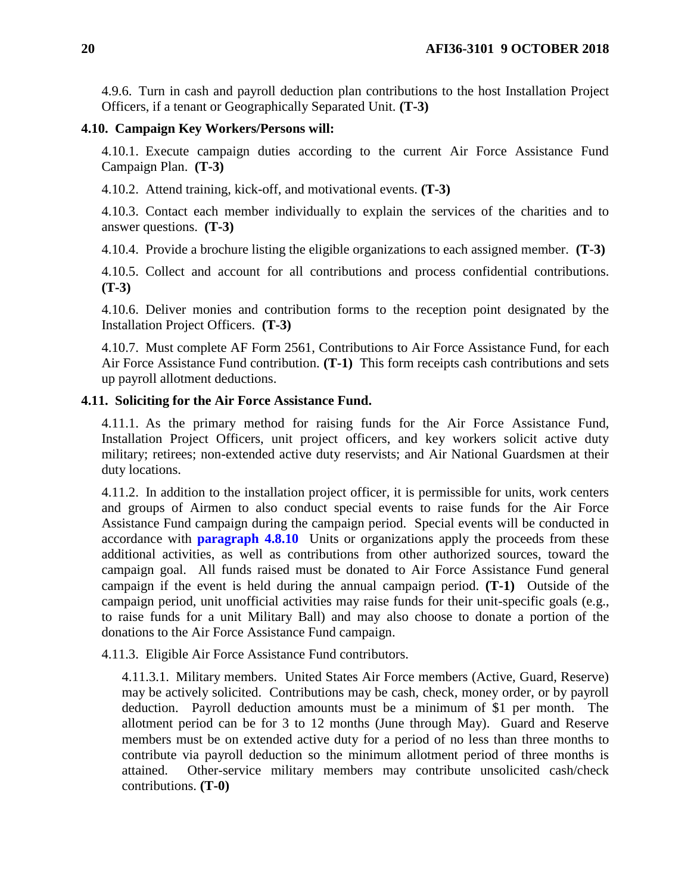4.9.6. Turn in cash and payroll deduction plan contributions to the host Installation Project Officers, if a tenant or Geographically Separated Unit. **(T-3)**

#### <span id="page-19-0"></span>**4.10. Campaign Key Workers/Persons will:**

4.10.1. Execute campaign duties according to the current Air Force Assistance Fund Campaign Plan. **(T-3)**

4.10.2. Attend training, kick-off, and motivational events. **(T-3)**

4.10.3. Contact each member individually to explain the services of the charities and to answer questions. **(T-3)**

4.10.4. Provide a brochure listing the eligible organizations to each assigned member. **(T-3)**

4.10.5. Collect and account for all contributions and process confidential contributions. **(T-3)**

4.10.6. Deliver monies and contribution forms to the reception point designated by the Installation Project Officers. **(T-3)**

4.10.7. Must complete AF Form 2561, Contributions to Air Force Assistance Fund, for each Air Force Assistance Fund contribution. **(T-1)** This form receipts cash contributions and sets up payroll allotment deductions.

### <span id="page-19-1"></span>**4.11. Soliciting for the Air Force Assistance Fund.**

4.11.1. As the primary method for raising funds for the Air Force Assistance Fund, Installation Project Officers, unit project officers, and key workers solicit active duty military; retirees; non-extended active duty reservists; and Air National Guardsmen at their duty locations.

4.11.2. In addition to the installation project officer, it is permissible for units, work centers and groups of Airmen to also conduct special events to raise funds for the Air Force Assistance Fund campaign during the campaign period. Special events will be conducted in accordance with **[paragraph](#page-18-1) 4.8.10** Units or organizations apply the proceeds from these additional activities, as well as contributions from other authorized sources, toward the campaign goal. All funds raised must be donated to Air Force Assistance Fund general campaign if the event is held during the annual campaign period. **(T-1)** Outside of the campaign period, unit unofficial activities may raise funds for their unit-specific goals (e.g., to raise funds for a unit Military Ball) and may also choose to donate a portion of the donations to the Air Force Assistance Fund campaign.

4.11.3. Eligible Air Force Assistance Fund contributors.

4.11.3.1. Military members. United States Air Force members (Active, Guard, Reserve) may be actively solicited. Contributions may be cash, check, money order, or by payroll deduction. Payroll deduction amounts must be a minimum of \$1 per month. The allotment period can be for 3 to 12 months (June through May). Guard and Reserve members must be on extended active duty for a period of no less than three months to contribute via payroll deduction so the minimum allotment period of three months is attained. Other-service military members may contribute unsolicited cash/check contributions. **(T-0)**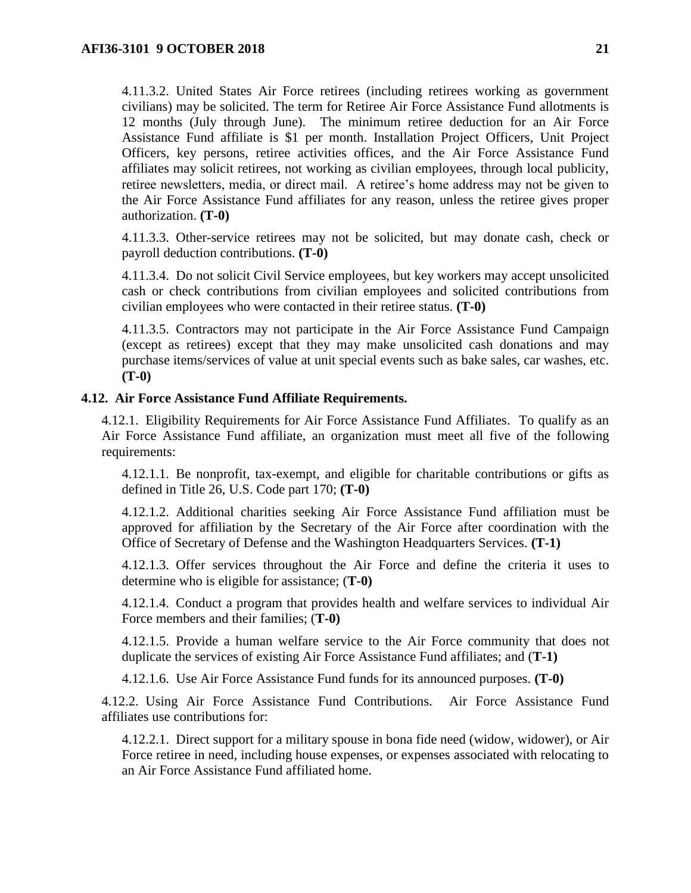4.11.3.2. United States Air Force retirees (including retirees working as government civilians) may be solicited. The term for Retiree Air Force Assistance Fund allotments is 12 months (July through June). The minimum retiree deduction for an Air Force Assistance Fund affiliate is \$1 per month. Installation Project Officers, Unit Project Officers, key persons, retiree activities offices, and the Air Force Assistance Fund affiliates may solicit retirees, not working as civilian employees, through local publicity, retiree newsletters, media, or direct mail. A retiree's home address may not be given to the Air Force Assistance Fund affiliates for any reason, unless the retiree gives proper authorization. **(T-0)**

4.11.3.3. Other-service retirees may not be solicited, but may donate cash, check or payroll deduction contributions. **(T-0)**

4.11.3.4. Do not solicit Civil Service employees, but key workers may accept unsolicited cash or check contributions from civilian employees and solicited contributions from civilian employees who were contacted in their retiree status. **(T-0)**

4.11.3.5. Contractors may not participate in the Air Force Assistance Fund Campaign (except as retirees) except that they may make unsolicited cash donations and may purchase items/services of value at unit special events such as bake sales, car washes, etc. **(T-0)**

#### <span id="page-20-0"></span>**4.12. Air Force Assistance Fund Affiliate Requirements.**

4.12.1. Eligibility Requirements for Air Force Assistance Fund Affiliates. To qualify as an Air Force Assistance Fund affiliate, an organization must meet all five of the following requirements:

4.12.1.1. Be nonprofit, tax-exempt, and eligible for charitable contributions or gifts as defined in Title 26, U.S. Code part 170; **(T-0)**

4.12.1.2. Additional charities seeking Air Force Assistance Fund affiliation must be approved for affiliation by the Secretary of the Air Force after coordination with the Office of Secretary of Defense and the Washington Headquarters Services. **(T-1)**

4.12.1.3. Offer services throughout the Air Force and define the criteria it uses to determine who is eligible for assistance; (**T-0)**

4.12.1.4. Conduct a program that provides health and welfare services to individual Air Force members and their families; (**T-0)**

4.12.1.5. Provide a human welfare service to the Air Force community that does not duplicate the services of existing Air Force Assistance Fund affiliates; and (**T-1)**

4.12.1.6. Use Air Force Assistance Fund funds for its announced purposes. **(T-0)**

4.12.2. Using Air Force Assistance Fund Contributions. Air Force Assistance Fund affiliates use contributions for:

4.12.2.1. Direct support for a military spouse in bona fide need (widow, widower), or Air Force retiree in need, including house expenses, or expenses associated with relocating to an Air Force Assistance Fund affiliated home.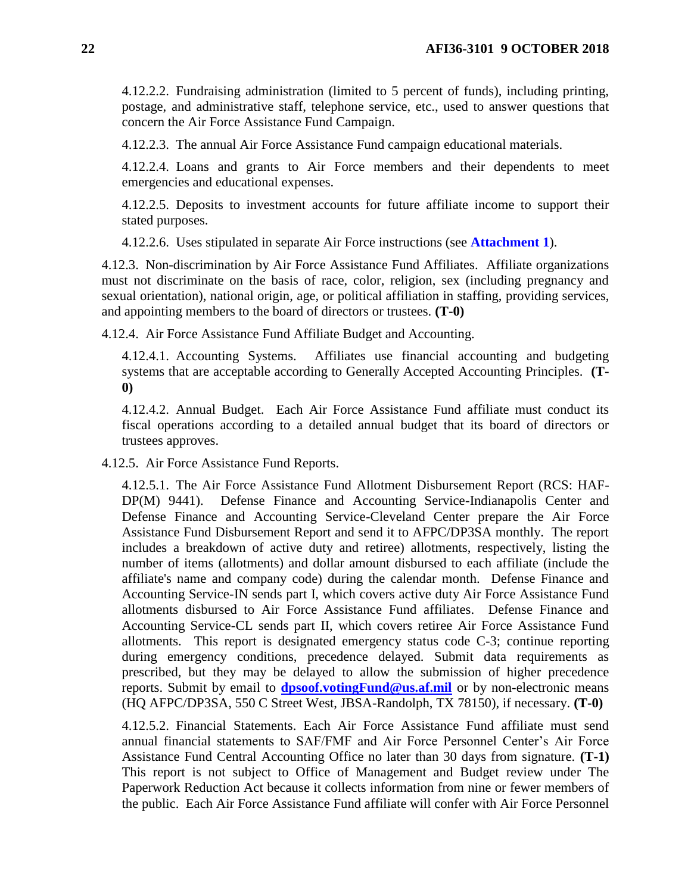4.12.2.2. Fundraising administration (limited to 5 percent of funds), including printing, postage, and administrative staff, telephone service, etc., used to answer questions that concern the Air Force Assistance Fund Campaign.

4.12.2.3. The annual Air Force Assistance Fund campaign educational materials.

4.12.2.4. Loans and grants to Air Force members and their dependents to meet emergencies and educational expenses.

4.12.2.5. Deposits to investment accounts for future affiliate income to support their stated purposes.

4.12.2.6. Uses stipulated in separate Air Force instructions (see **[Attachment](#page-28-0) 1**).

4.12.3. Non-discrimination by Air Force Assistance Fund Affiliates. Affiliate organizations must not discriminate on the basis of race, color, religion, sex (including pregnancy and sexual orientation), national origin, age, or political affiliation in staffing, providing services, and appointing members to the board of directors or trustees. **(T-0)**

4.12.4. Air Force Assistance Fund Affiliate Budget and Accounting.

4.12.4.1. Accounting Systems. Affiliates use financial accounting and budgeting systems that are acceptable according to Generally Accepted Accounting Principles. **(T-0)**

4.12.4.2. Annual Budget. Each Air Force Assistance Fund affiliate must conduct its fiscal operations according to a detailed annual budget that its board of directors or trustees approves.

4.12.5. Air Force Assistance Fund Reports.

4.12.5.1. The Air Force Assistance Fund Allotment Disbursement Report (RCS: HAF-DP(M) 9441). Defense Finance and Accounting Service-Indianapolis Center and Defense Finance and Accounting Service-Cleveland Center prepare the Air Force Assistance Fund Disbursement Report and send it to AFPC/DP3SA monthly. The report includes a breakdown of active duty and retiree) allotments, respectively, listing the number of items (allotments) and dollar amount disbursed to each affiliate (include the affiliate's name and company code) during the calendar month. Defense Finance and Accounting Service-IN sends part I, which covers active duty Air Force Assistance Fund allotments disbursed to Air Force Assistance Fund affiliates. Defense Finance and Accounting Service-CL sends part II, which covers retiree Air Force Assistance Fund allotments. This report is designated emergency status code C-3; continue reporting during emergency conditions, precedence delayed. Submit data requirements as prescribed, but they may be delayed to allow the submission of higher precedence reports. Submit by email to **[dpsoof.votingFund@us.af.mil](mailto:dpsoof.votingFund@us.af.mil)** or by non-electronic means (HQ AFPC/DP3SA, 550 C Street West, JBSA-Randolph, TX 78150), if necessary. **(T-0)**

4.12.5.2. Financial Statements. Each Air Force Assistance Fund affiliate must send annual financial statements to SAF/FMF and Air Force Personnel Center's Air Force Assistance Fund Central Accounting Office no later than 30 days from signature. **(T-1)** This report is not subject to Office of Management and Budget review under The Paperwork Reduction Act because it collects information from nine or fewer members of the public. Each Air Force Assistance Fund affiliate will confer with Air Force Personnel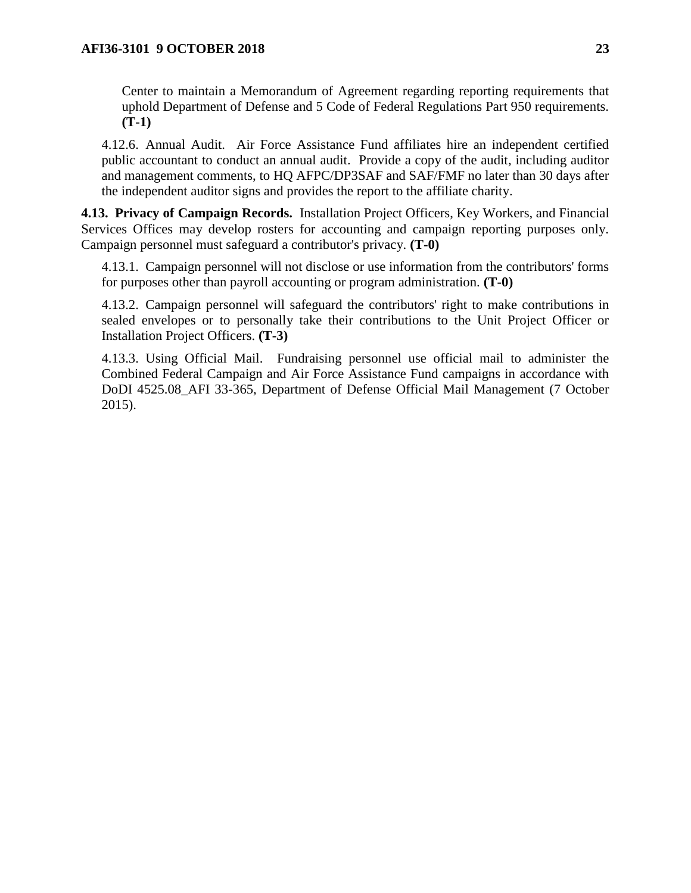Center to maintain a Memorandum of Agreement regarding reporting requirements that uphold Department of Defense and 5 Code of Federal Regulations Part 950 requirements. **(T-1)**

4.12.6. Annual Audit. Air Force Assistance Fund affiliates hire an independent certified public accountant to conduct an annual audit. Provide a copy of the audit, including auditor and management comments, to HQ AFPC/DP3SAF and SAF/FMF no later than 30 days after the independent auditor signs and provides the report to the affiliate charity.

<span id="page-22-0"></span>**4.13. Privacy of Campaign Records.** Installation Project Officers, Key Workers, and Financial Services Offices may develop rosters for accounting and campaign reporting purposes only. Campaign personnel must safeguard a contributor's privacy. **(T-0)**

4.13.1. Campaign personnel will not disclose or use information from the contributors' forms for purposes other than payroll accounting or program administration. **(T-0)**

4.13.2. Campaign personnel will safeguard the contributors' right to make contributions in sealed envelopes or to personally take their contributions to the Unit Project Officer or Installation Project Officers. **(T-3)**

4.13.3. Using Official Mail. Fundraising personnel use official mail to administer the Combined Federal Campaign and Air Force Assistance Fund campaigns in accordance with DoDI 4525.08\_AFI 33-365, Department of Defense Official Mail Management (7 October 2015).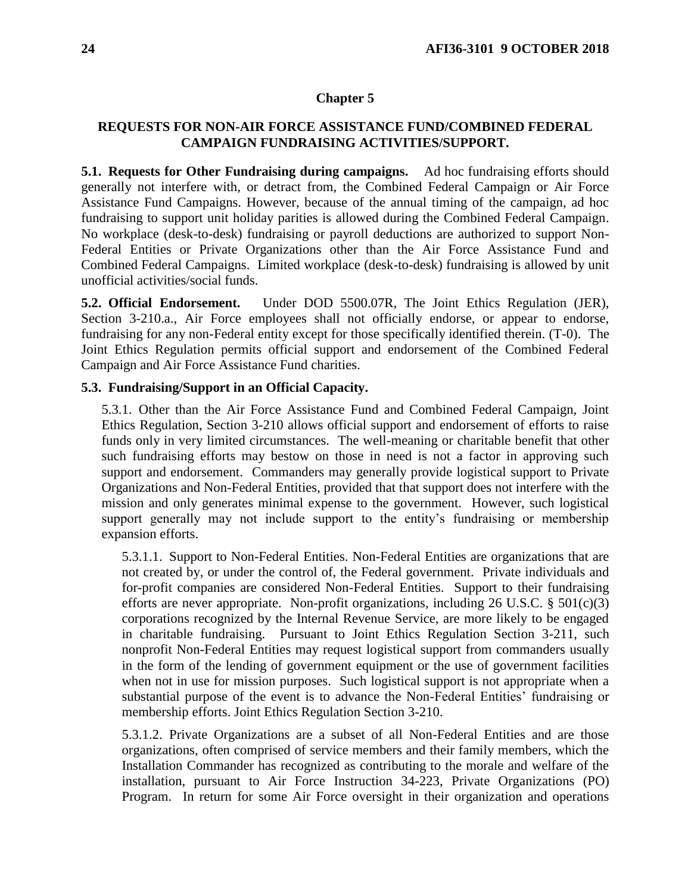#### **Chapter 5**

## <span id="page-23-0"></span>**REQUESTS FOR NON-AIR FORCE ASSISTANCE FUND/COMBINED FEDERAL CAMPAIGN FUNDRAISING ACTIVITIES/SUPPORT.**

<span id="page-23-1"></span>**5.1. Requests for Other Fundraising during campaigns.** Ad hoc fundraising efforts should generally not interfere with, or detract from, the Combined Federal Campaign or Air Force Assistance Fund Campaigns. However, because of the annual timing of the campaign, ad hoc fundraising to support unit holiday parities is allowed during the Combined Federal Campaign. No workplace (desk-to-desk) fundraising or payroll deductions are authorized to support Non-Federal Entities or Private Organizations other than the Air Force Assistance Fund and Combined Federal Campaigns. Limited workplace (desk-to-desk) fundraising is allowed by unit unofficial activities/social funds.

<span id="page-23-2"></span>**5.2. Official Endorsement.** Under DOD 5500.07R, The Joint Ethics Regulation (JER), Section 3-210.a., Air Force employees shall not officially endorse, or appear to endorse, fundraising for any non-Federal entity except for those specifically identified therein. (T-0). The Joint Ethics Regulation permits official support and endorsement of the Combined Federal Campaign and Air Force Assistance Fund charities.

## <span id="page-23-3"></span>**5.3. Fundraising/Support in an Official Capacity.**

5.3.1. Other than the Air Force Assistance Fund and Combined Federal Campaign, Joint Ethics Regulation, Section 3-210 allows official support and endorsement of efforts to raise funds only in very limited circumstances. The well-meaning or charitable benefit that other such fundraising efforts may bestow on those in need is not a factor in approving such support and endorsement. Commanders may generally provide logistical support to Private Organizations and Non-Federal Entities, provided that that support does not interfere with the mission and only generates minimal expense to the government. However, such logistical support generally may not include support to the entity's fundraising or membership expansion efforts.

5.3.1.1. Support to Non-Federal Entities. Non-Federal Entities are organizations that are not created by, or under the control of, the Federal government. Private individuals and for-profit companies are considered Non-Federal Entities. Support to their fundraising efforts are never appropriate. Non-profit organizations, including  $26$  U.S.C. §  $501(c)(3)$ corporations recognized by the Internal Revenue Service, are more likely to be engaged in charitable fundraising. Pursuant to Joint Ethics Regulation Section 3-211, such nonprofit Non-Federal Entities may request logistical support from commanders usually in the form of the lending of government equipment or the use of government facilities when not in use for mission purposes. Such logistical support is not appropriate when a substantial purpose of the event is to advance the Non-Federal Entities' fundraising or membership efforts. Joint Ethics Regulation Section 3-210.

5.3.1.2. Private Organizations are a subset of all Non-Federal Entities and are those organizations, often comprised of service members and their family members, which the Installation Commander has recognized as contributing to the morale and welfare of the installation, pursuant to Air Force Instruction 34-223, Private Organizations (PO) Program. In return for some Air Force oversight in their organization and operations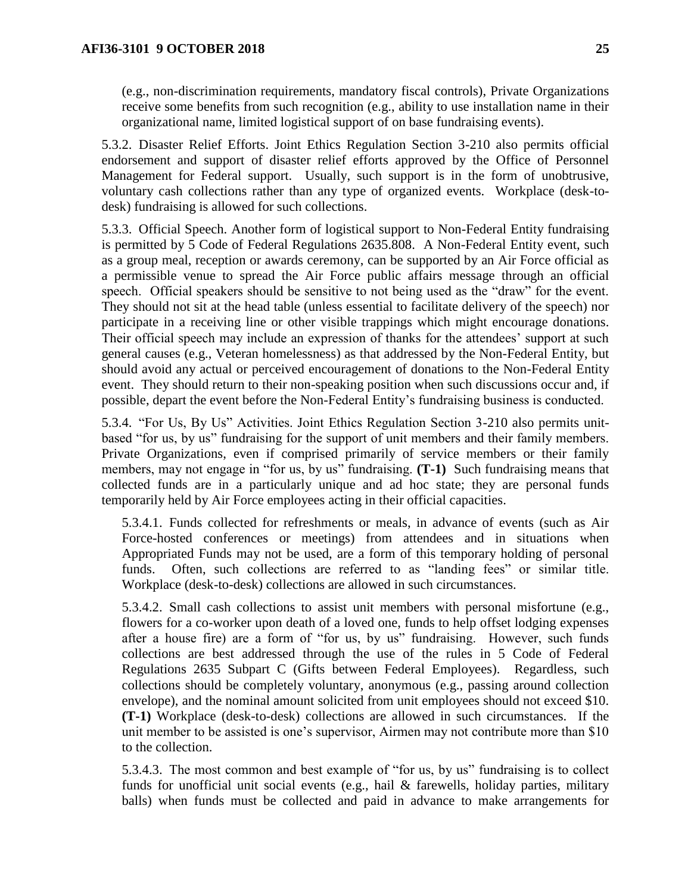(e.g., non-discrimination requirements, mandatory fiscal controls), Private Organizations receive some benefits from such recognition (e.g., ability to use installation name in their organizational name, limited logistical support of on base fundraising events).

5.3.2. Disaster Relief Efforts. Joint Ethics Regulation Section 3-210 also permits official endorsement and support of disaster relief efforts approved by the Office of Personnel Management for Federal support. Usually, such support is in the form of unobtrusive, voluntary cash collections rather than any type of organized events. Workplace (desk-todesk) fundraising is allowed for such collections.

5.3.3. Official Speech. Another form of logistical support to Non-Federal Entity fundraising is permitted by 5 Code of Federal Regulations 2635.808. A Non-Federal Entity event, such as a group meal, reception or awards ceremony, can be supported by an Air Force official as a permissible venue to spread the Air Force public affairs message through an official speech. Official speakers should be sensitive to not being used as the "draw" for the event. They should not sit at the head table (unless essential to facilitate delivery of the speech) nor participate in a receiving line or other visible trappings which might encourage donations. Their official speech may include an expression of thanks for the attendees' support at such general causes (e.g., Veteran homelessness) as that addressed by the Non-Federal Entity, but should avoid any actual or perceived encouragement of donations to the Non-Federal Entity event. They should return to their non-speaking position when such discussions occur and, if possible, depart the event before the Non-Federal Entity's fundraising business is conducted.

5.3.4. "For Us, By Us" Activities. Joint Ethics Regulation Section 3-210 also permits unitbased "for us, by us" fundraising for the support of unit members and their family members. Private Organizations, even if comprised primarily of service members or their family members, may not engage in "for us, by us" fundraising. **(T-1)** Such fundraising means that collected funds are in a particularly unique and ad hoc state; they are personal funds temporarily held by Air Force employees acting in their official capacities.

5.3.4.1. Funds collected for refreshments or meals, in advance of events (such as Air Force-hosted conferences or meetings) from attendees and in situations when Appropriated Funds may not be used, are a form of this temporary holding of personal funds. Often, such collections are referred to as "landing fees" or similar title. Workplace (desk-to-desk) collections are allowed in such circumstances.

5.3.4.2. Small cash collections to assist unit members with personal misfortune (e.g., flowers for a co-worker upon death of a loved one, funds to help offset lodging expenses after a house fire) are a form of "for us, by us" fundraising. However, such funds collections are best addressed through the use of the rules in 5 Code of Federal Regulations 2635 Subpart C (Gifts between Federal Employees). Regardless, such collections should be completely voluntary, anonymous (e.g., passing around collection envelope), and the nominal amount solicited from unit employees should not exceed \$10. **(T-1)** Workplace (desk-to-desk) collections are allowed in such circumstances. If the unit member to be assisted is one's supervisor, Airmen may not contribute more than \$10 to the collection.

5.3.4.3. The most common and best example of "for us, by us" fundraising is to collect funds for unofficial unit social events (e.g., hail & farewells, holiday parties, military balls) when funds must be collected and paid in advance to make arrangements for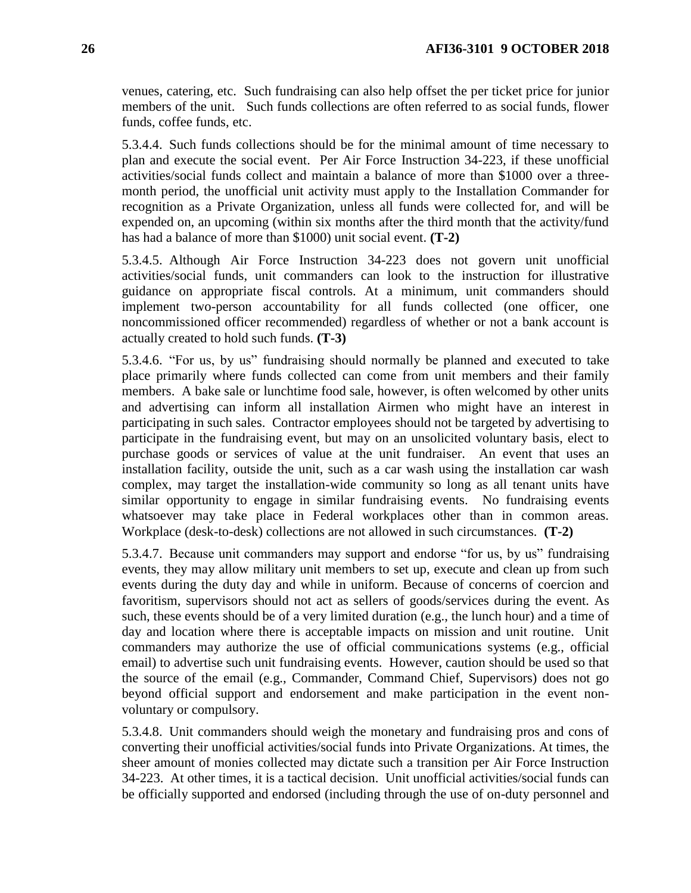venues, catering, etc. Such fundraising can also help offset the per ticket price for junior members of the unit. Such funds collections are often referred to as social funds, flower funds, coffee funds, etc.

5.3.4.4. Such funds collections should be for the minimal amount of time necessary to plan and execute the social event. Per Air Force Instruction 34-223, if these unofficial activities/social funds collect and maintain a balance of more than \$1000 over a threemonth period, the unofficial unit activity must apply to the Installation Commander for recognition as a Private Organization, unless all funds were collected for, and will be expended on, an upcoming (within six months after the third month that the activity/fund has had a balance of more than \$1000) unit social event. **(T-2)** 

5.3.4.5. Although Air Force Instruction 34-223 does not govern unit unofficial activities/social funds, unit commanders can look to the instruction for illustrative guidance on appropriate fiscal controls. At a minimum, unit commanders should implement two-person accountability for all funds collected (one officer, one noncommissioned officer recommended) regardless of whether or not a bank account is actually created to hold such funds. **(T-3)**

5.3.4.6. "For us, by us" fundraising should normally be planned and executed to take place primarily where funds collected can come from unit members and their family members. A bake sale or lunchtime food sale, however, is often welcomed by other units and advertising can inform all installation Airmen who might have an interest in participating in such sales. Contractor employees should not be targeted by advertising to participate in the fundraising event, but may on an unsolicited voluntary basis, elect to purchase goods or services of value at the unit fundraiser. An event that uses an installation facility, outside the unit, such as a car wash using the installation car wash complex, may target the installation-wide community so long as all tenant units have similar opportunity to engage in similar fundraising events. No fundraising events whatsoever may take place in Federal workplaces other than in common areas. Workplace (desk-to-desk) collections are not allowed in such circumstances. **(T-2)**

5.3.4.7. Because unit commanders may support and endorse "for us, by us" fundraising events, they may allow military unit members to set up, execute and clean up from such events during the duty day and while in uniform. Because of concerns of coercion and favoritism, supervisors should not act as sellers of goods/services during the event. As such, these events should be of a very limited duration (e.g., the lunch hour) and a time of day and location where there is acceptable impacts on mission and unit routine. Unit commanders may authorize the use of official communications systems (e.g., official email) to advertise such unit fundraising events. However, caution should be used so that the source of the email (e.g., Commander, Command Chief, Supervisors) does not go beyond official support and endorsement and make participation in the event nonvoluntary or compulsory.

5.3.4.8. Unit commanders should weigh the monetary and fundraising pros and cons of converting their unofficial activities/social funds into Private Organizations. At times, the sheer amount of monies collected may dictate such a transition per Air Force Instruction 34-223. At other times, it is a tactical decision. Unit unofficial activities/social funds can be officially supported and endorsed (including through the use of on-duty personnel and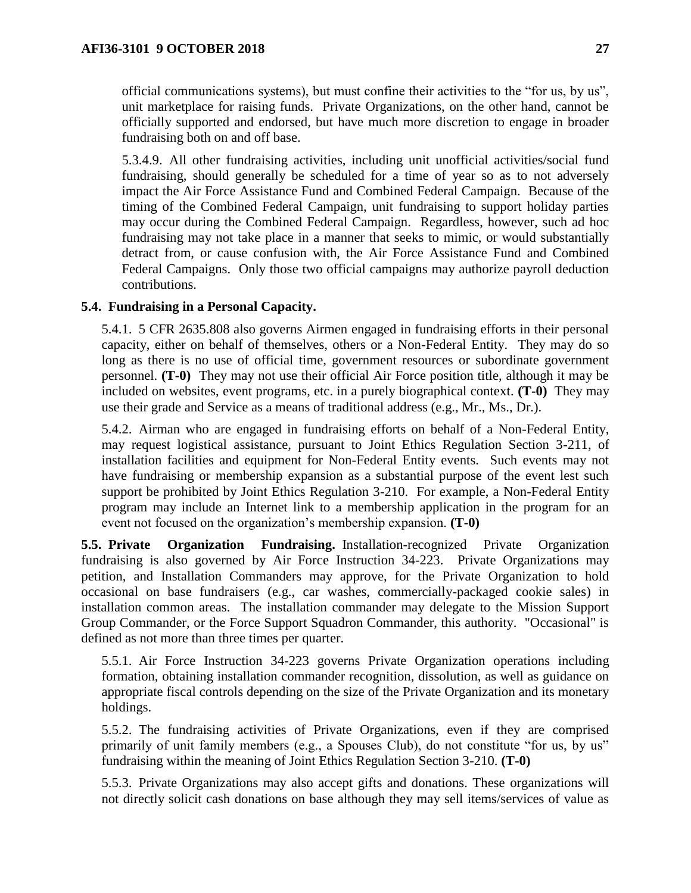official communications systems), but must confine their activities to the "for us, by us", unit marketplace for raising funds. Private Organizations, on the other hand, cannot be officially supported and endorsed, but have much more discretion to engage in broader fundraising both on and off base.

5.3.4.9. All other fundraising activities, including unit unofficial activities/social fund fundraising, should generally be scheduled for a time of year so as to not adversely impact the Air Force Assistance Fund and Combined Federal Campaign. Because of the timing of the Combined Federal Campaign, unit fundraising to support holiday parties may occur during the Combined Federal Campaign. Regardless, however, such ad hoc fundraising may not take place in a manner that seeks to mimic, or would substantially detract from, or cause confusion with, the Air Force Assistance Fund and Combined Federal Campaigns. Only those two official campaigns may authorize payroll deduction contributions.

## <span id="page-26-0"></span>**5.4. Fundraising in a Personal Capacity.**

5.4.1. 5 CFR 2635.808 also governs Airmen engaged in fundraising efforts in their personal capacity, either on behalf of themselves, others or a Non-Federal Entity. They may do so long as there is no use of official time, government resources or subordinate government personnel. **(T-0)** They may not use their official Air Force position title, although it may be included on websites, event programs, etc. in a purely biographical context. **(T-0)** They may use their grade and Service as a means of traditional address (e.g., Mr., Ms., Dr.).

5.4.2. Airman who are engaged in fundraising efforts on behalf of a Non-Federal Entity, may request logistical assistance, pursuant to Joint Ethics Regulation Section 3-211, of installation facilities and equipment for Non-Federal Entity events. Such events may not have fundraising or membership expansion as a substantial purpose of the event lest such support be prohibited by Joint Ethics Regulation 3-210. For example, a Non-Federal Entity program may include an Internet link to a membership application in the program for an event not focused on the organization's membership expansion. **(T-0)** 

<span id="page-26-1"></span>**5.5. Private Organization Fundraising.** Installation-recognized Private Organization fundraising is also governed by Air Force Instruction 34-223. Private Organizations may petition, and Installation Commanders may approve, for the Private Organization to hold occasional on base fundraisers (e.g., car washes, commercially-packaged cookie sales) in installation common areas. The installation commander may delegate to the Mission Support Group Commander, or the Force Support Squadron Commander, this authority. "Occasional" is defined as not more than three times per quarter.

5.5.1. Air Force Instruction 34-223 governs Private Organization operations including formation, obtaining installation commander recognition, dissolution, as well as guidance on appropriate fiscal controls depending on the size of the Private Organization and its monetary holdings.

5.5.2. The fundraising activities of Private Organizations, even if they are comprised primarily of unit family members (e.g., a Spouses Club), do not constitute "for us, by us" fundraising within the meaning of Joint Ethics Regulation Section 3-210. **(T-0)**

5.5.3. Private Organizations may also accept gifts and donations. These organizations will not directly solicit cash donations on base although they may sell items/services of value as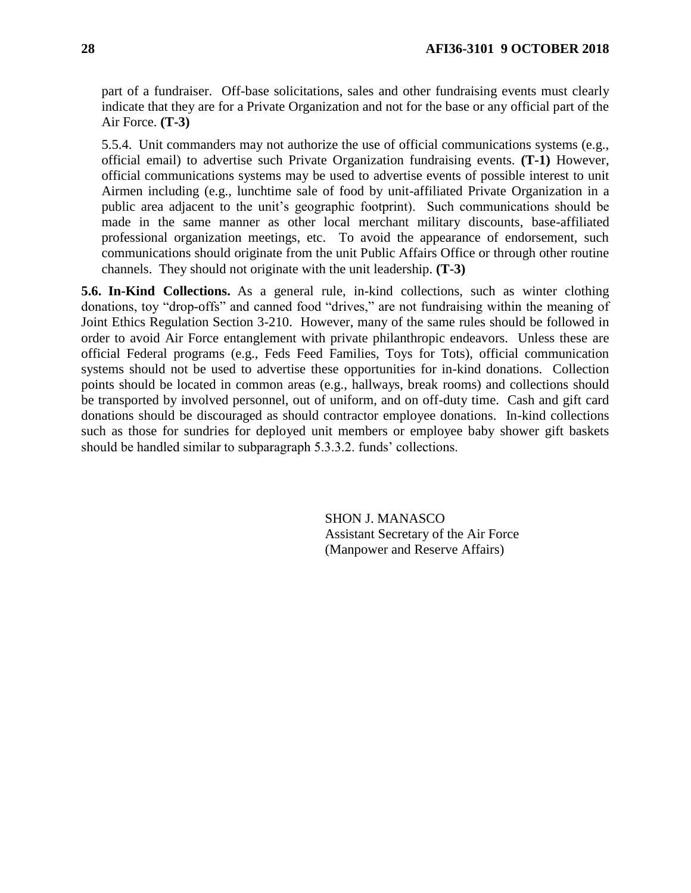part of a fundraiser. Off-base solicitations, sales and other fundraising events must clearly indicate that they are for a Private Organization and not for the base or any official part of the Air Force. **(T-3)** 

5.5.4. Unit commanders may not authorize the use of official communications systems (e.g., official email) to advertise such Private Organization fundraising events. **(T-1)** However, official communications systems may be used to advertise events of possible interest to unit Airmen including (e.g., lunchtime sale of food by unit-affiliated Private Organization in a public area adjacent to the unit's geographic footprint). Such communications should be made in the same manner as other local merchant military discounts, base-affiliated professional organization meetings, etc. To avoid the appearance of endorsement, such communications should originate from the unit Public Affairs Office or through other routine channels. They should not originate with the unit leadership. **(T-3)** 

<span id="page-27-0"></span>**5.6. In-Kind Collections.** As a general rule, in-kind collections, such as winter clothing donations, toy "drop-offs" and canned food "drives," are not fundraising within the meaning of Joint Ethics Regulation Section 3-210. However, many of the same rules should be followed in order to avoid Air Force entanglement with private philanthropic endeavors. Unless these are official Federal programs (e.g., Feds Feed Families, Toys for Tots), official communication systems should not be used to advertise these opportunities for in-kind donations. Collection points should be located in common areas (e.g., hallways, break rooms) and collections should be transported by involved personnel, out of uniform, and on off-duty time. Cash and gift card donations should be discouraged as should contractor employee donations. In-kind collections such as those for sundries for deployed unit members or employee baby shower gift baskets should be handled similar to subparagraph 5.3.3.2. funds' collections.

> SHON J. MANASCO Assistant Secretary of the Air Force (Manpower and Reserve Affairs)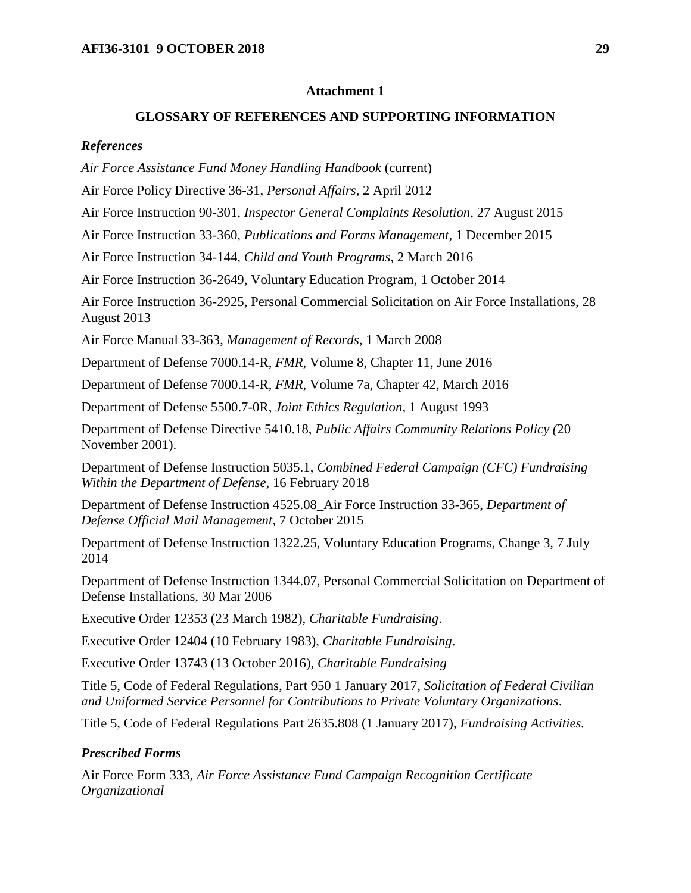#### **Attachment 1**

### **GLOSSARY OF REFERENCES AND SUPPORTING INFORMATION**

#### <span id="page-28-0"></span>*References*

*Air Force Assistance Fund Money Handling Handbook* (current)

Air Force Policy Directive 36-31, *Personal Affairs*, 2 April 2012

Air Force Instruction 90-301, *Inspector General Complaints Resolution*, 27 August 2015

Air Force Instruction 33-360, *Publications and Forms Management,* 1 December 2015

Air Force Instruction 34-144, *Child and Youth Programs*, 2 March 2016

Air Force Instruction 36-2649, Voluntary Education Program, 1 October 2014

Air Force Instruction 36-2925, Personal Commercial Solicitation on Air Force Installations, 28 August 2013

Air Force Manual 33-363, *Management of Records*, 1 March 2008

Department of Defense 7000.14-R, *FMR*, Volume 8, Chapter 11, June 2016

Department of Defense 7000.14-R, *FMR*, Volume 7a, Chapter 42, March 2016

Department of Defense 5500.7-0R, *Joint Ethics Regulation*, 1 August 1993

Department of Defense Directive 5410.18, *Public Affairs Community Relations Policy (*20 November 2001).

Department of Defense Instruction 5035.1, *Combined Federal Campaign (CFC) Fundraising Within the Department of Defense*, 16 February 2018

Department of Defense Instruction 4525.08\_Air Force Instruction 33-365, *Department of Defense Official Mail Management*, 7 October 2015

Department of Defense Instruction 1322.25, Voluntary Education Programs, Change 3, 7 July 2014

Department of Defense Instruction 1344.07, Personal Commercial Solicitation on Department of Defense Installations, 30 Mar 2006

Executive Order 12353 (23 March 1982), *Charitable Fundraising*.

Executive Order 12404 (10 February 1983), *Charitable Fundraising*.

Executive Order 13743 (13 October 2016), *Charitable Fundraising*

Title 5, Code of Federal Regulations, Part 950 1 January 2017, *Solicitation of Federal Civilian and Uniformed Service Personnel for Contributions to Private Voluntary Organizations*.

Title 5, Code of Federal Regulations Part 2635.808 (1 January 2017), *Fundraising Activities.*

#### *Prescribed Forms*

Air Force Form 333, *Air Force Assistance Fund Campaign Recognition Certificate – Organizational*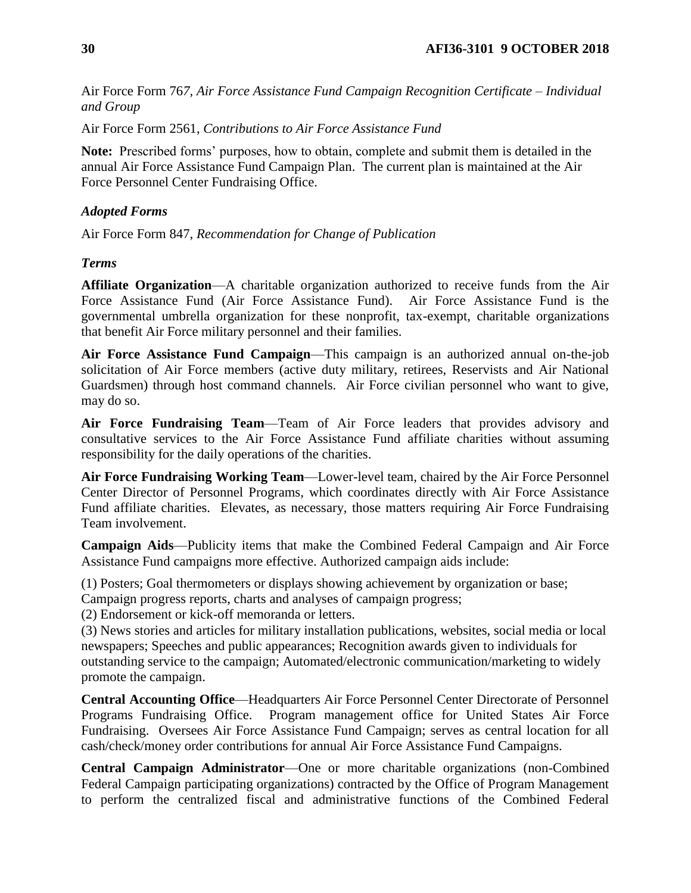Air Force Form 76*7, Air Force Assistance Fund Campaign Recognition Certificate – Individual and Group*

Air Force Form 2561, *Contributions to Air Force Assistance Fund*

**Note:** Prescribed forms' purposes, how to obtain, complete and submit them is detailed in the annual Air Force Assistance Fund Campaign Plan. The current plan is maintained at the Air Force Personnel Center Fundraising Office.

## *Adopted Forms*

Air Force Form 847, *Recommendation for Change of Publication*

## *Terms*

**Affiliate Organization**—A charitable organization authorized to receive funds from the Air Force Assistance Fund (Air Force Assistance Fund). Air Force Assistance Fund is the governmental umbrella organization for these nonprofit, tax-exempt, charitable organizations that benefit Air Force military personnel and their families.

**Air Force Assistance Fund Campaign**—This campaign is an authorized annual on-the-job solicitation of Air Force members (active duty military, retirees, Reservists and Air National Guardsmen) through host command channels. Air Force civilian personnel who want to give, may do so.

**Air Force Fundraising Team**—Team of Air Force leaders that provides advisory and consultative services to the Air Force Assistance Fund affiliate charities without assuming responsibility for the daily operations of the charities.

**Air Force Fundraising Working Team**—Lower-level team, chaired by the Air Force Personnel Center Director of Personnel Programs, which coordinates directly with Air Force Assistance Fund affiliate charities. Elevates, as necessary, those matters requiring Air Force Fundraising Team involvement.

**Campaign Aids**—Publicity items that make the Combined Federal Campaign and Air Force Assistance Fund campaigns more effective. Authorized campaign aids include:

(1) Posters; Goal thermometers or displays showing achievement by organization or base;

Campaign progress reports, charts and analyses of campaign progress;

(2) Endorsement or kick-off memoranda or letters.

(3) News stories and articles for military installation publications, websites, social media or local newspapers; Speeches and public appearances; Recognition awards given to individuals for outstanding service to the campaign; Automated/electronic communication/marketing to widely promote the campaign.

**Central Accounting Office**—Headquarters Air Force Personnel Center Directorate of Personnel Programs Fundraising Office. Program management office for United States Air Force Fundraising. Oversees Air Force Assistance Fund Campaign; serves as central location for all cash/check/money order contributions for annual Air Force Assistance Fund Campaigns.

**Central Campaign Administrator**—One or more charitable organizations (non-Combined Federal Campaign participating organizations) contracted by the Office of Program Management to perform the centralized fiscal and administrative functions of the Combined Federal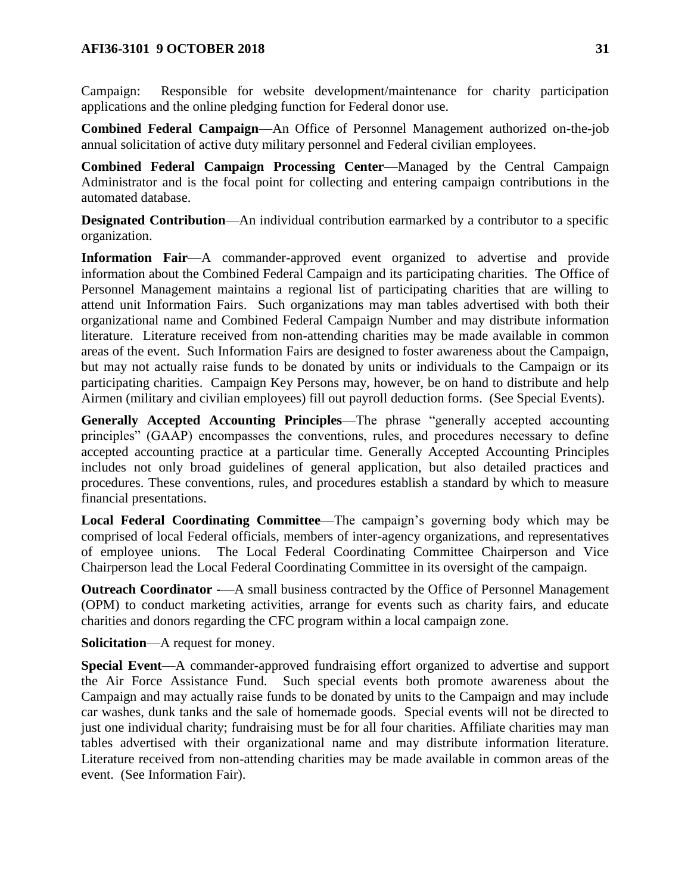### **AFI36-3101 9 OCTOBER 2018 31**

Campaign: Responsible for website development/maintenance for charity participation applications and the online pledging function for Federal donor use.

**Combined Federal Campaign**—An Office of Personnel Management authorized on-the-job annual solicitation of active duty military personnel and Federal civilian employees.

**Combined Federal Campaign Processing Center**—Managed by the Central Campaign Administrator and is the focal point for collecting and entering campaign contributions in the automated database.

**Designated Contribution—An** individual contribution earmarked by a contributor to a specific organization.

**Information Fair**—A commander-approved event organized to advertise and provide information about the Combined Federal Campaign and its participating charities. The Office of Personnel Management maintains a regional list of participating charities that are willing to attend unit Information Fairs. Such organizations may man tables advertised with both their organizational name and Combined Federal Campaign Number and may distribute information literature. Literature received from non-attending charities may be made available in common areas of the event. Such Information Fairs are designed to foster awareness about the Campaign, but may not actually raise funds to be donated by units or individuals to the Campaign or its participating charities. Campaign Key Persons may, however, be on hand to distribute and help Airmen (military and civilian employees) fill out payroll deduction forms. (See Special Events).

**Generally Accepted Accounting Principles**—The phrase "generally accepted accounting principles" (GAAP) encompasses the conventions, rules, and procedures necessary to define accepted accounting practice at a particular time. Generally Accepted Accounting Principles includes not only broad guidelines of general application, but also detailed practices and procedures. These conventions, rules, and procedures establish a standard by which to measure financial presentations.

**Local Federal Coordinating Committee**—The campaign's governing body which may be comprised of local Federal officials, members of inter-agency organizations, and representatives of employee unions. The Local Federal Coordinating Committee Chairperson and Vice Chairperson lead the Local Federal Coordinating Committee in its oversight of the campaign.

**Outreach Coordinator -—A** small business contracted by the Office of Personnel Management (OPM) to conduct marketing activities, arrange for events such as charity fairs, and educate charities and donors regarding the CFC program within a local campaign zone.

**Solicitation**—A request for money.

**Special Event**—A commander-approved fundraising effort organized to advertise and support the Air Force Assistance Fund. Such special events both promote awareness about the Campaign and may actually raise funds to be donated by units to the Campaign and may include car washes, dunk tanks and the sale of homemade goods. Special events will not be directed to just one individual charity; fundraising must be for all four charities. Affiliate charities may man tables advertised with their organizational name and may distribute information literature. Literature received from non-attending charities may be made available in common areas of the event. (See Information Fair).